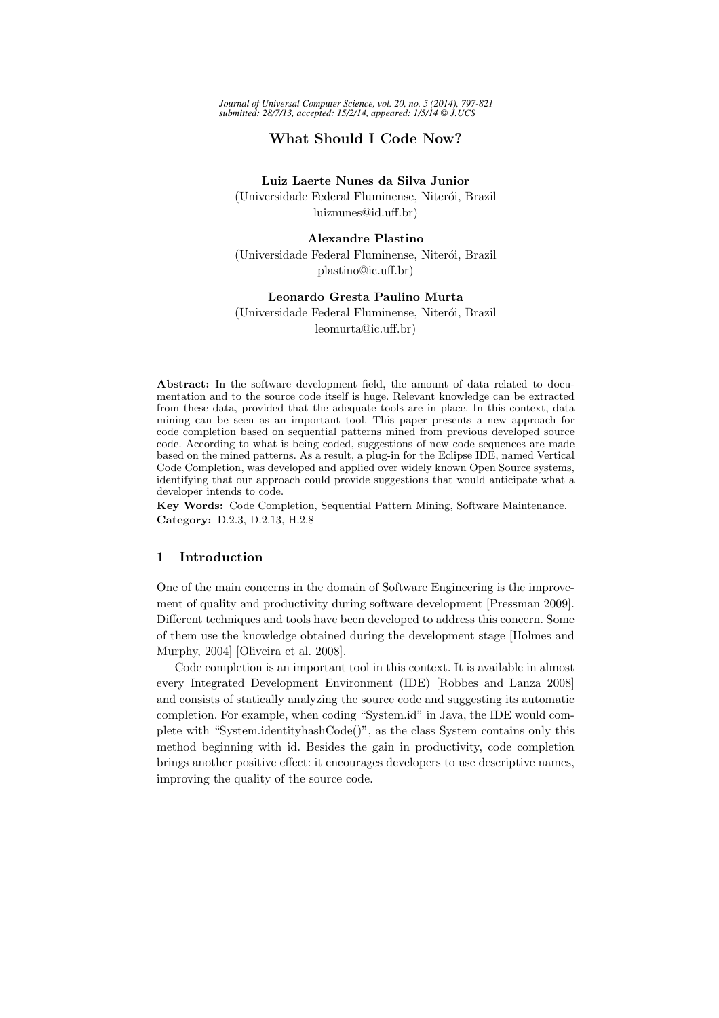*Journal of Universal Computer Science, vol. 20, no. 5 (2014), 797-821 submitted: 28/7/13, accepted: 15/2/14, appeared: 1/5/14 J.UCS*

# What Should I Code Now?

# Luiz Laerte Nunes da Silva Junior (Universidade Federal Fluminense, Niterói, Brazil) luiznunes@id.uff.br)

### Alexandre Plastino

(Universidade Federal Fluminense, Niterói, Brazil plastino@ic.uff.br)

### Leonardo Gresta Paulino Murta

(Universidade Federal Fluminense, Niterói, Brazil) leomurta@ic.uff.br)

Abstract: In the software development field, the amount of data related to documentation and to the source code itself is huge. Relevant knowledge can be extracted from these data, provided that the adequate tools are in place. In this context, data mining can be seen as an important tool. This paper presents a new approach for code completion based on sequential patterns mined from previous developed source code. According to what is being coded, suggestions of new code sequences are made based on the mined patterns. As a result, a plug-in for the Eclipse IDE, named Vertical Code Completion, was developed and applied over widely known Open Source systems, identifying that our approach could provide suggestions that would anticipate what a developer intends to code.

Key Words: Code Completion, Sequential Pattern Mining, Software Maintenance. Category: D.2.3, D.2.13, H.2.8

### 1 Introduction

One of the main concerns in the domain of Software Engineering is the improvement of quality and productivity during software development [Pressman 2009]. Different techniques and tools have been developed to address this concern. Some of them use the knowledge obtained during the development stage [Holmes and Murphy, 2004] [Oliveira et al. 2008].

Code completion is an important tool in this context. It is available in almost every Integrated Development Environment (IDE) [Robbes and Lanza 2008] and consists of statically analyzing the source code and suggesting its automatic completion. For example, when coding "System.id" in Java, the IDE would complete with "System.identityhashCode()", as the class System contains only this method beginning with id. Besides the gain in productivity, code completion brings another positive effect: it encourages developers to use descriptive names, improving the quality of the source code.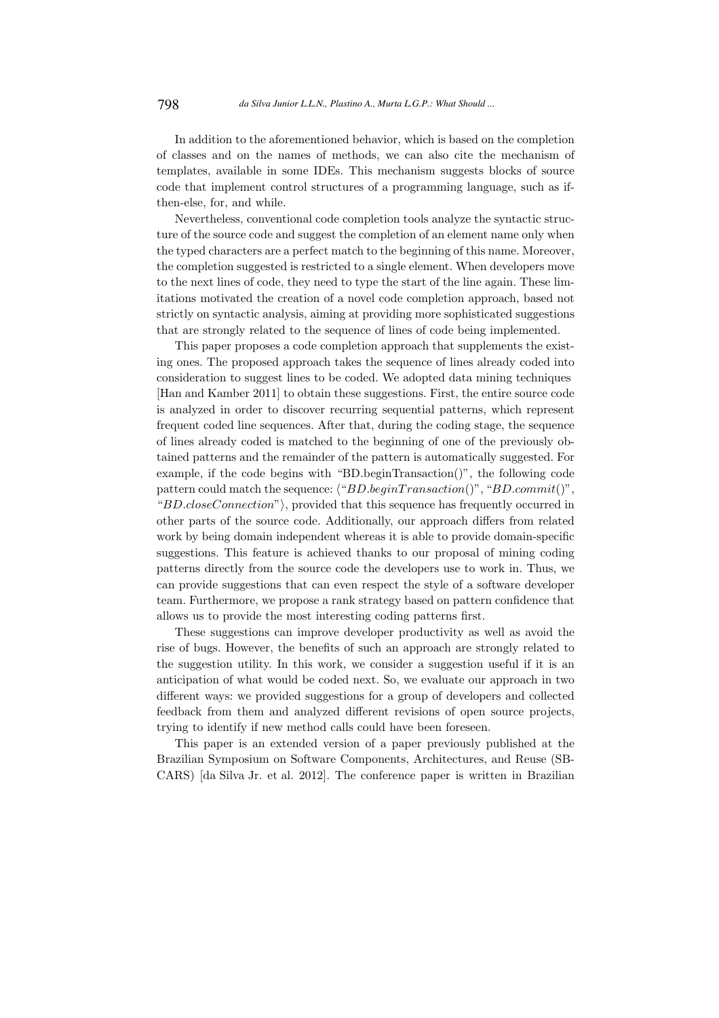In addition to the aforementioned behavior, which is based on the completion of classes and on the names of methods, we can also cite the mechanism of templates, available in some IDEs. This mechanism suggests blocks of source code that implement control structures of a programming language, such as ifthen-else, for, and while.

Nevertheless, conventional code completion tools analyze the syntactic structure of the source code and suggest the completion of an element name only when the typed characters are a perfect match to the beginning of this name. Moreover, the completion suggested is restricted to a single element. When developers move to the next lines of code, they need to type the start of the line again. These limitations motivated the creation of a novel code completion approach, based not strictly on syntactic analysis, aiming at providing more sophisticated suggestions that are strongly related to the sequence of lines of code being implemented.

This paper proposes a code completion approach that supplements the existing ones. The proposed approach takes the sequence of lines already coded into consideration to suggest lines to be coded. We adopted data mining techniques [Han and Kamber 2011] to obtain these suggestions. First, the entire source code is analyzed in order to discover recurring sequential patterns, which represent frequent coded line sequences. After that, during the coding stage, the sequence of lines already coded is matched to the beginning of one of the previously obtained patterns and the remainder of the pattern is automatically suggested. For example, if the code begins with "BD.beginTransaction()", the following code pattern could match the sequence:  $\langle "BD.beginTransaction()", "BD.commit()",$ " $BD.closeConnection$ ", provided that this sequence has frequently occurred in other parts of the source code. Additionally, our approach differs from related work by being domain independent whereas it is able to provide domain-specific suggestions. This feature is achieved thanks to our proposal of mining coding patterns directly from the source code the developers use to work in. Thus, we can provide suggestions that can even respect the style of a software developer team. Furthermore, we propose a rank strategy based on pattern confidence that allows us to provide the most interesting coding patterns first.

These suggestions can improve developer productivity as well as avoid the rise of bugs. However, the benefits of such an approach are strongly related to the suggestion utility. In this work, we consider a suggestion useful if it is an anticipation of what would be coded next. So, we evaluate our approach in two different ways: we provided suggestions for a group of developers and collected feedback from them and analyzed different revisions of open source projects, trying to identify if new method calls could have been foreseen.

This paper is an extended version of a paper previously published at the Brazilian Symposium on Software Components, Architectures, and Reuse (SB-CARS) [da Silva Jr. et al. 2012]. The conference paper is written in Brazilian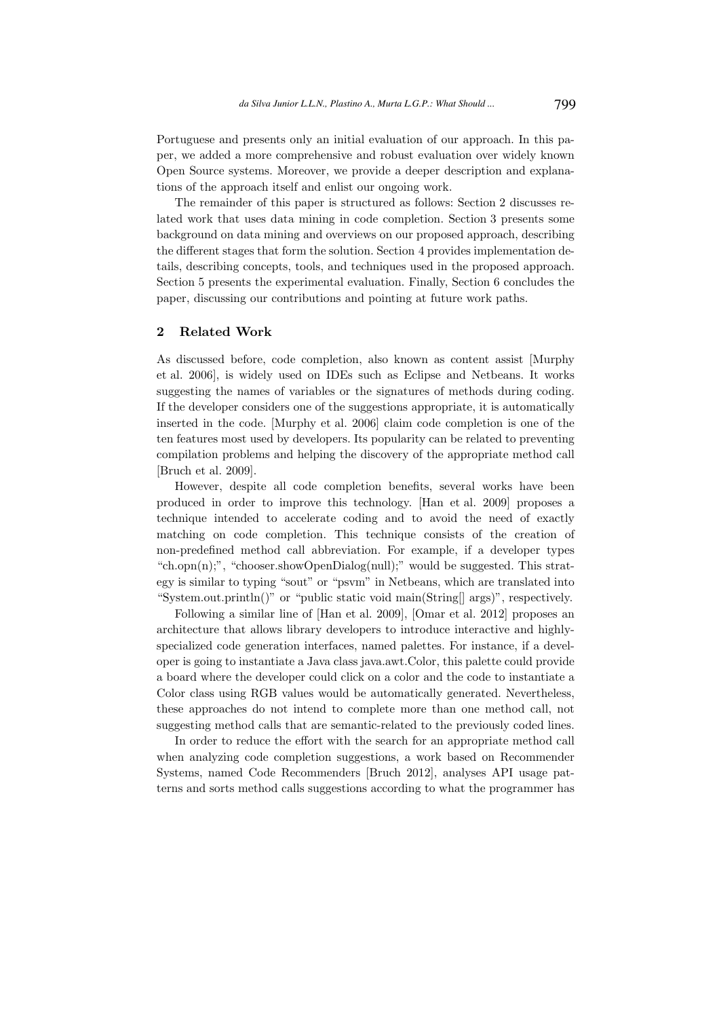Portuguese and presents only an initial evaluation of our approach. In this paper, we added a more comprehensive and robust evaluation over widely known Open Source systems. Moreover, we provide a deeper description and explanations of the approach itself and enlist our ongoing work.

The remainder of this paper is structured as follows: Section 2 discusses related work that uses data mining in code completion. Section 3 presents some background on data mining and overviews on our proposed approach, describing the different stages that form the solution. Section 4 provides implementation details, describing concepts, tools, and techniques used in the proposed approach. Section 5 presents the experimental evaluation. Finally, Section 6 concludes the paper, discussing our contributions and pointing at future work paths.

## 2 Related Work

As discussed before, code completion, also known as content assist [Murphy et al. 2006], is widely used on IDEs such as Eclipse and Netbeans. It works suggesting the names of variables or the signatures of methods during coding. If the developer considers one of the suggestions appropriate, it is automatically inserted in the code. [Murphy et al. 2006] claim code completion is one of the ten features most used by developers. Its popularity can be related to preventing compilation problems and helping the discovery of the appropriate method call [Bruch et al. 2009].

However, despite all code completion benefits, several works have been produced in order to improve this technology. [Han et al. 2009] proposes a technique intended to accelerate coding and to avoid the need of exactly matching on code completion. This technique consists of the creation of non-predefined method call abbreviation. For example, if a developer types "ch.opn(n);", "chooser.showOpenDialog(null);" would be suggested. This strategy is similar to typing "sout" or "psvm" in Netbeans, which are translated into "System.out.println()" or "public static void main(String[] args)", respectively.

Following a similar line of [Han et al. 2009], [Omar et al. 2012] proposes an architecture that allows library developers to introduce interactive and highlyspecialized code generation interfaces, named palettes. For instance, if a developer is going to instantiate a Java class java.awt.Color, this palette could provide a board where the developer could click on a color and the code to instantiate a Color class using RGB values would be automatically generated. Nevertheless, these approaches do not intend to complete more than one method call, not suggesting method calls that are semantic-related to the previously coded lines.

In order to reduce the effort with the search for an appropriate method call when analyzing code completion suggestions, a work based on Recommender Systems, named Code Recommenders [Bruch 2012], analyses API usage patterns and sorts method calls suggestions according to what the programmer has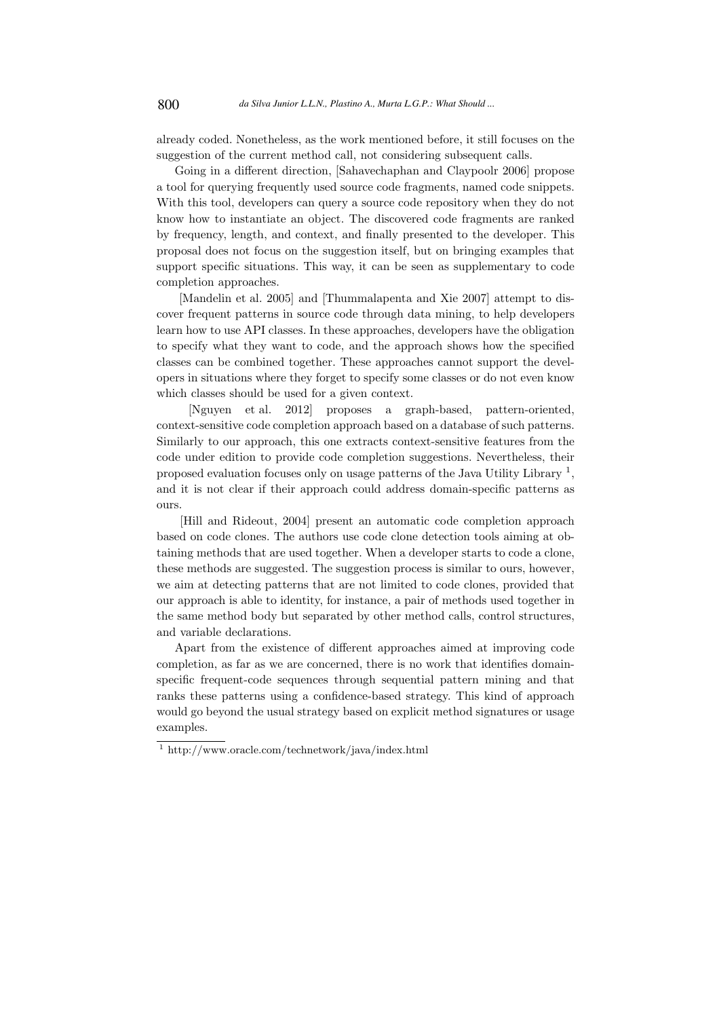already coded. Nonetheless, as the work mentioned before, it still focuses on the suggestion of the current method call, not considering subsequent calls.

Going in a different direction, [Sahavechaphan and Claypoolr 2006] propose a tool for querying frequently used source code fragments, named code snippets. With this tool, developers can query a source code repository when they do not know how to instantiate an object. The discovered code fragments are ranked by frequency, length, and context, and finally presented to the developer. This proposal does not focus on the suggestion itself, but on bringing examples that support specific situations. This way, it can be seen as supplementary to code completion approaches.

[Mandelin et al. 2005] and [Thummalapenta and Xie 2007] attempt to discover frequent patterns in source code through data mining, to help developers learn how to use API classes. In these approaches, developers have the obligation to specify what they want to code, and the approach shows how the specified classes can be combined together. These approaches cannot support the developers in situations where they forget to specify some classes or do not even know which classes should be used for a given context.

[Nguyen et al. 2012] proposes a graph-based, pattern-oriented, context-sensitive code completion approach based on a database of such patterns. Similarly to our approach, this one extracts context-sensitive features from the code under edition to provide code completion suggestions. Nevertheless, their proposed evaluation focuses only on usage patterns of the Java Utility Library  $\frac{1}{2}$ , and it is not clear if their approach could address domain-specific patterns as ours.

[Hill and Rideout, 2004] present an automatic code completion approach based on code clones. The authors use code clone detection tools aiming at obtaining methods that are used together. When a developer starts to code a clone, these methods are suggested. The suggestion process is similar to ours, however, we aim at detecting patterns that are not limited to code clones, provided that our approach is able to identity, for instance, a pair of methods used together in the same method body but separated by other method calls, control structures, and variable declarations.

Apart from the existence of different approaches aimed at improving code completion, as far as we are concerned, there is no work that identifies domainspecific frequent-code sequences through sequential pattern mining and that ranks these patterns using a confidence-based strategy. This kind of approach would go beyond the usual strategy based on explicit method signatures or usage examples.

 $1 \text{ http://www.oracle.com/technetwork/iava/index.html}$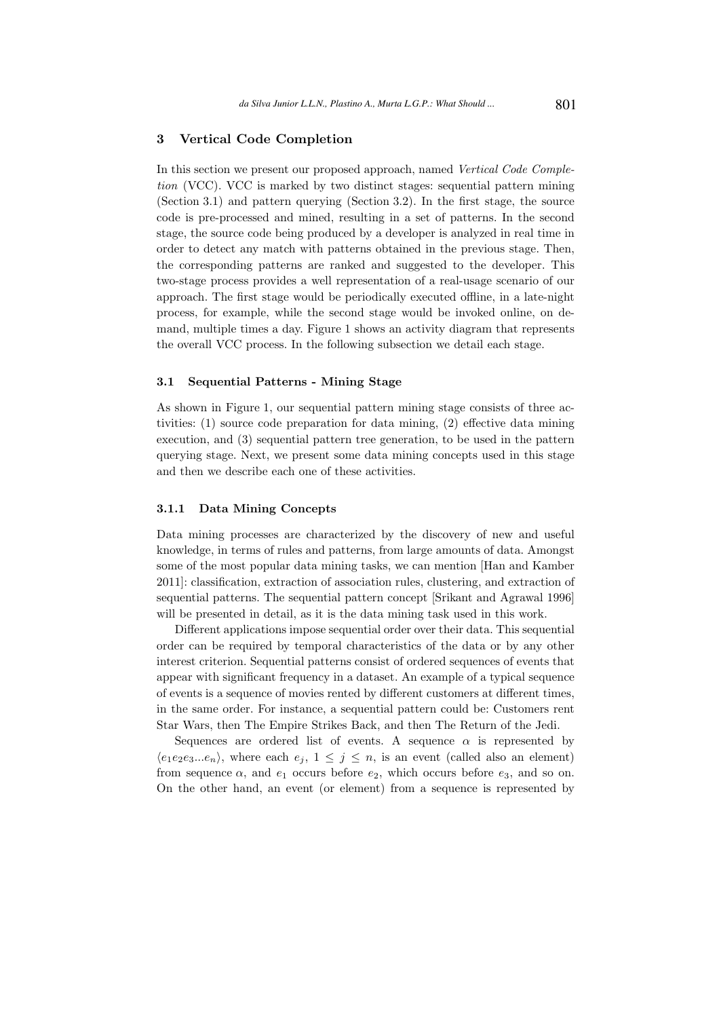## 3 Vertical Code Completion

In this section we present our proposed approach, named Vertical Code Completion (VCC). VCC is marked by two distinct stages: sequential pattern mining (Section 3.1) and pattern querying (Section 3.2). In the first stage, the source code is pre-processed and mined, resulting in a set of patterns. In the second stage, the source code being produced by a developer is analyzed in real time in order to detect any match with patterns obtained in the previous stage. Then, the corresponding patterns are ranked and suggested to the developer. This two-stage process provides a well representation of a real-usage scenario of our approach. The first stage would be periodically executed offline, in a late-night process, for example, while the second stage would be invoked online, on demand, multiple times a day. Figure 1 shows an activity diagram that represents the overall VCC process. In the following subsection we detail each stage.

#### 3.1 Sequential Patterns - Mining Stage

As shown in Figure 1, our sequential pattern mining stage consists of three activities: (1) source code preparation for data mining, (2) effective data mining execution, and (3) sequential pattern tree generation, to be used in the pattern querying stage. Next, we present some data mining concepts used in this stage and then we describe each one of these activities.

# 3.1.1 Data Mining Concepts

Data mining processes are characterized by the discovery of new and useful knowledge, in terms of rules and patterns, from large amounts of data. Amongst some of the most popular data mining tasks, we can mention [Han and Kamber 2011]: classification, extraction of association rules, clustering, and extraction of sequential patterns. The sequential pattern concept [Srikant and Agrawal 1996] will be presented in detail, as it is the data mining task used in this work.

Different applications impose sequential order over their data. This sequential order can be required by temporal characteristics of the data or by any other interest criterion. Sequential patterns consist of ordered sequences of events that appear with significant frequency in a dataset. An example of a typical sequence of events is a sequence of movies rented by different customers at different times, in the same order. For instance, a sequential pattern could be: Customers rent Star Wars, then The Empire Strikes Back, and then The Return of the Jedi.

Sequences are ordered list of events. A sequence  $\alpha$  is represented by  $\langle e_1e_2e_3...e_n \rangle$ , where each  $e_j, 1 \leq j \leq n$ , is an event (called also an element) from sequence  $\alpha$ , and  $e_1$  occurs before  $e_2$ , which occurs before  $e_3$ , and so on. On the other hand, an event (or element) from a sequence is represented by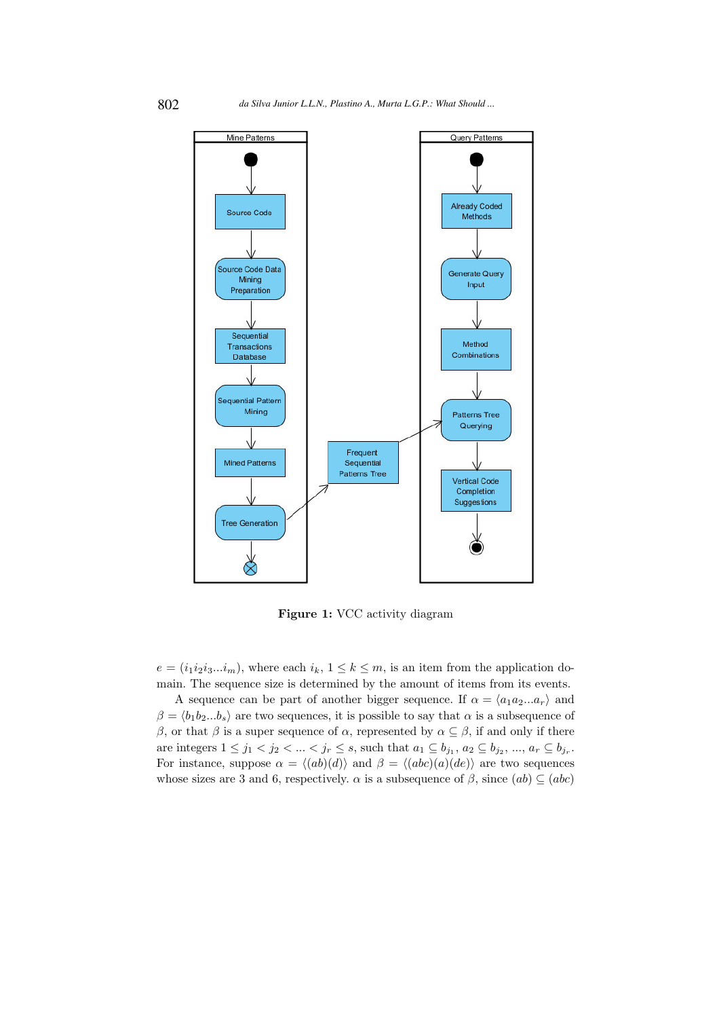

Figure 1: VCC activity diagram

 $e = (i_1 i_2 i_3 \dots i_m)$ , where each  $i_k$ ,  $1 \leq k \leq m$ , is an item from the application domain. The sequence size is determined by the amount of items from its events.

A sequence can be part of another bigger sequence. If  $\alpha = \langle a_1 a_2 ... a_r \rangle$  and  $\beta = \langle b_1b_2...b_s \rangle$  are two sequences, it is possible to say that  $\alpha$  is a subsequence of β, or that β is a super sequence of  $\alpha$ , represented by  $\alpha \subseteq \beta$ , if and only if there are integers  $1 \le j_1 < j_2 < ... < j_r \le s$ , such that  $a_1 \subseteq b_{j_1}, a_2 \subseteq b_{j_2}, ..., a_r \subseteq b_{j_r}$ . For instance, suppose  $\alpha = \langle (ab)(d) \rangle$  and  $\beta = \langle (abc)(a)(de) \rangle$  are two sequences whose sizes are 3 and 6, respectively.  $\alpha$  is a subsequence of  $\beta$ , since  $(ab) \subseteq (abc)$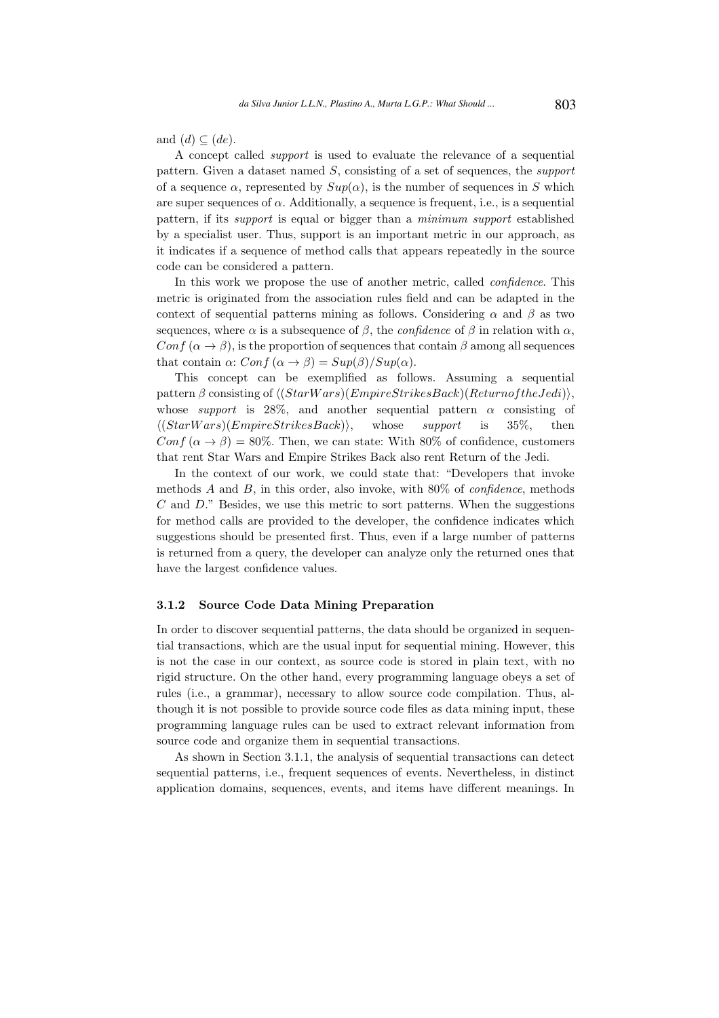and  $(d) \subseteq (de)$ .

A concept called support is used to evaluate the relevance of a sequential pattern. Given a dataset named S, consisting of a set of sequences, the support of a sequence  $\alpha$ , represented by  $Sup(\alpha)$ , is the number of sequences in S which are super sequences of  $\alpha$ . Additionally, a sequence is frequent, i.e., is a sequential pattern, if its support is equal or bigger than a minimum support established by a specialist user. Thus, support is an important metric in our approach, as it indicates if a sequence of method calls that appears repeatedly in the source code can be considered a pattern.

In this work we propose the use of another metric, called *confidence*. This metric is originated from the association rules field and can be adapted in the context of sequential patterns mining as follows. Considering  $\alpha$  and  $\beta$  as two sequences, where  $\alpha$  is a subsequence of  $\beta$ , the *confidence* of  $\beta$  in relation with  $\alpha$ , Conf  $(\alpha \to \beta)$ , is the proportion of sequences that contain  $\beta$  among all sequences that contain  $\alpha$ :  $Conf(\alpha \rightarrow \beta) = Sup(\beta)/Sup(\alpha)$ .

This concept can be exemplified as follows. Assuming a sequential pattern β consisting of  $\langle (Star Wars)(EmpireStrikesBack)(Return of theJedi) \rangle$ , whose support is 28%, and another sequential pattern  $\alpha$  consisting of  $\langle (StarWars)(EmpireStrikesBack) \rangle$ , whose support is 35%, then  $Conf(\alpha \rightarrow \beta) = 80\%$ . Then, we can state: With 80% of confidence, customers that rent Star Wars and Empire Strikes Back also rent Return of the Jedi.

In the context of our work, we could state that: "Developers that invoke methods  $A$  and  $B$ , in this order, also invoke, with 80% of *confidence*, methods C and D." Besides, we use this metric to sort patterns. When the suggestions for method calls are provided to the developer, the confidence indicates which suggestions should be presented first. Thus, even if a large number of patterns is returned from a query, the developer can analyze only the returned ones that have the largest confidence values.

### 3.1.2 Source Code Data Mining Preparation

In order to discover sequential patterns, the data should be organized in sequential transactions, which are the usual input for sequential mining. However, this is not the case in our context, as source code is stored in plain text, with no rigid structure. On the other hand, every programming language obeys a set of rules (i.e., a grammar), necessary to allow source code compilation. Thus, although it is not possible to provide source code files as data mining input, these programming language rules can be used to extract relevant information from source code and organize them in sequential transactions.

As shown in Section 3.1.1, the analysis of sequential transactions can detect sequential patterns, i.e., frequent sequences of events. Nevertheless, in distinct application domains, sequences, events, and items have different meanings. In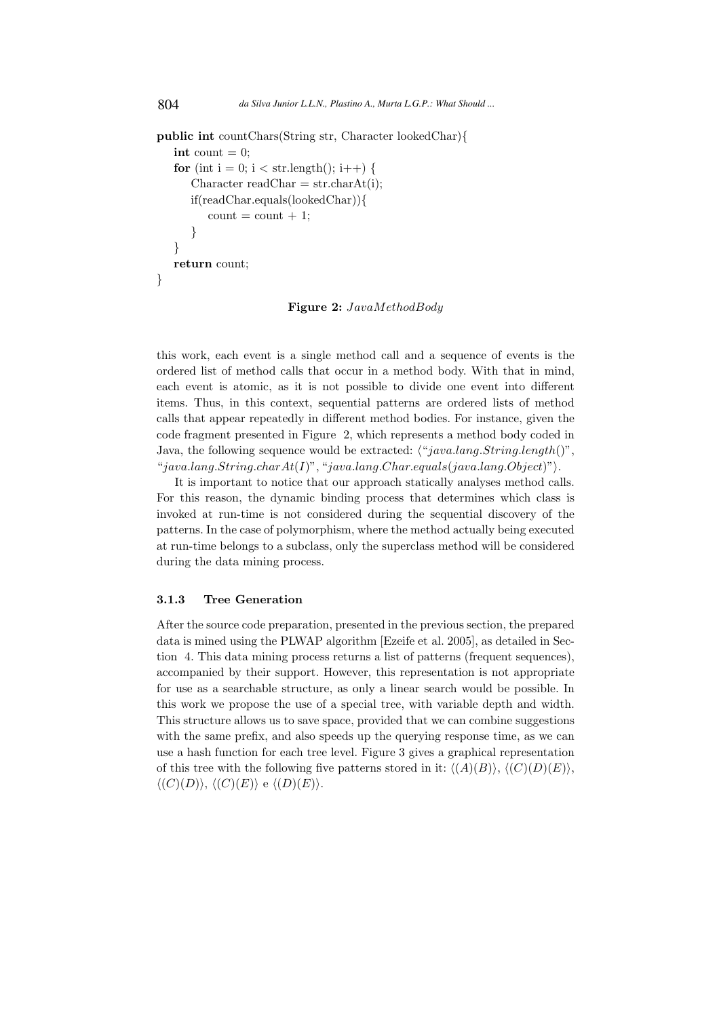```
public int countChars(String str, Character lookedChar){
   int count = 0;
   for (int i = 0; i < str.length(); i++) {
      Character readChar = str.charAt(i):
      if(readChar.equals(lookedChar)){
         count = count + 1;}
   }
   return count;
}
```
Figure 2: JavaMethodBody

this work, each event is a single method call and a sequence of events is the ordered list of method calls that occur in a method body. With that in mind, each event is atomic, as it is not possible to divide one event into different items. Thus, in this context, sequential patterns are ordered lists of method calls that appear repeatedly in different method bodies. For instance, given the code fragment presented in Figure 2, which represents a method body coded in Java, the following sequence would be extracted:  $\langle "java.lang(String.length()",$ "java.lang.String.char $At(I)$ ", "java.lang.Char.equals(java.lang.Object)").

It is important to notice that our approach statically analyses method calls. For this reason, the dynamic binding process that determines which class is invoked at run-time is not considered during the sequential discovery of the patterns. In the case of polymorphism, where the method actually being executed at run-time belongs to a subclass, only the superclass method will be considered during the data mining process.

### 3.1.3 Tree Generation

After the source code preparation, presented in the previous section, the prepared data is mined using the PLWAP algorithm [Ezeife et al. 2005], as detailed in Section 4. This data mining process returns a list of patterns (frequent sequences), accompanied by their support. However, this representation is not appropriate for use as a searchable structure, as only a linear search would be possible. In this work we propose the use of a special tree, with variable depth and width. This structure allows us to save space, provided that we can combine suggestions with the same prefix, and also speeds up the querying response time, as we can use a hash function for each tree level. Figure 3 gives a graphical representation of this tree with the following five patterns stored in it:  $\langle (A)(B) \rangle$ ,  $\langle (C)(D)(E) \rangle$ ,  $\langle (C)(D) \rangle$ ,  $\langle (C)(E) \rangle$  e  $\langle (D)(E) \rangle$ .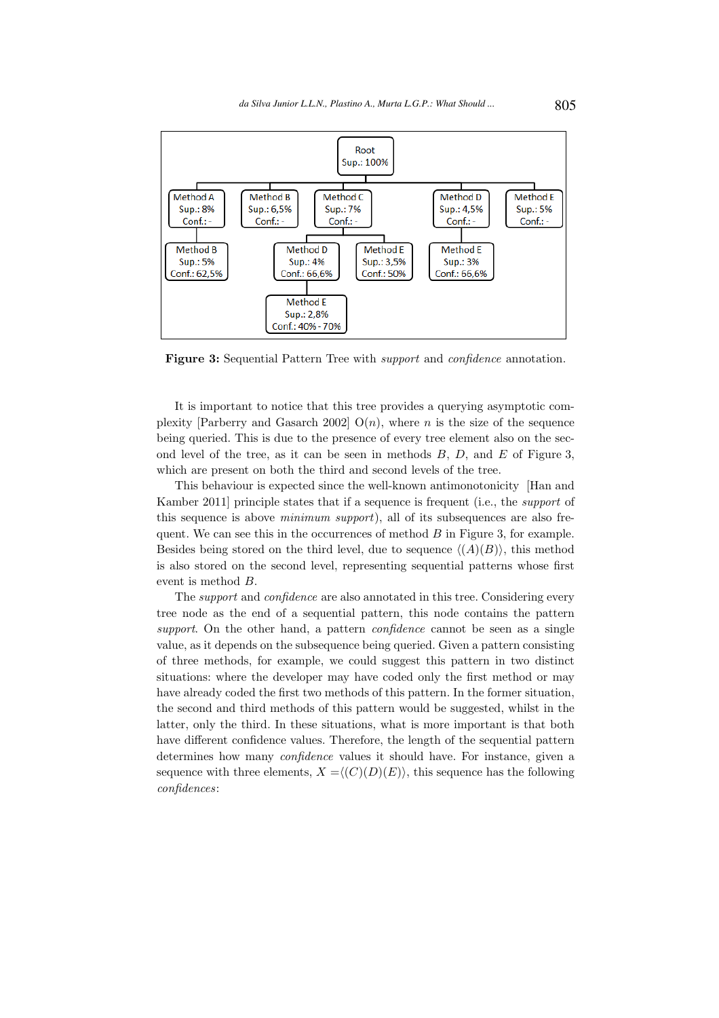

Figure 3: Sequential Pattern Tree with support and confidence annotation.

It is important to notice that this tree provides a querying asymptotic complexity [Parberry and Gasarch 2002]  $O(n)$ , where n is the size of the sequence being queried. This is due to the presence of every tree element also on the second level of the tree, as it can be seen in methods  $B, D$ , and  $E$  of Figure 3, which are present on both the third and second levels of the tree.

This behaviour is expected since the well-known antimonotonicity [Han and Kamber 2011] principle states that if a sequence is frequent (i.e., the support of this sequence is above minimum support), all of its subsequences are also frequent. We can see this in the occurrences of method  $B$  in Figure 3, for example. Besides being stored on the third level, due to sequence  $\langle (A)(B) \rangle$ , this method is also stored on the second level, representing sequential patterns whose first event is method B.

The *support* and *confidence* are also annotated in this tree. Considering every tree node as the end of a sequential pattern, this node contains the pattern support. On the other hand, a pattern *confidence* cannot be seen as a single value, as it depends on the subsequence being queried. Given a pattern consisting of three methods, for example, we could suggest this pattern in two distinct situations: where the developer may have coded only the first method or may have already coded the first two methods of this pattern. In the former situation, the second and third methods of this pattern would be suggested, whilst in the latter, only the third. In these situations, what is more important is that both have different confidence values. Therefore, the length of the sequential pattern determines how many confidence values it should have. For instance, given a sequence with three elements,  $X = \langle (C)(D)(E) \rangle$ , this sequence has the following confidences: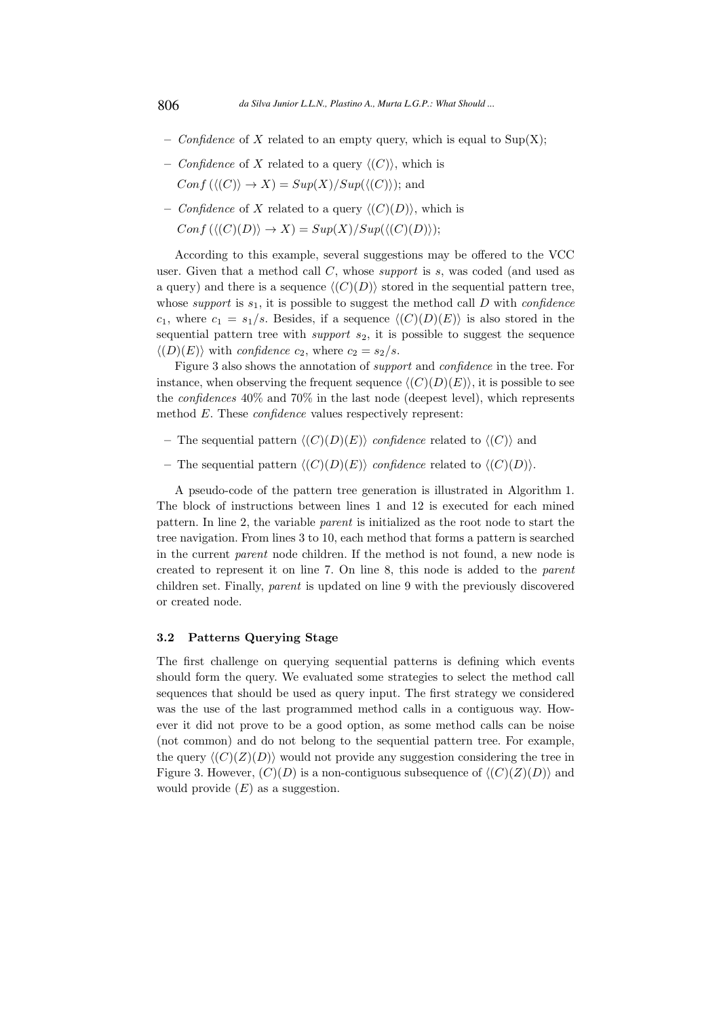- Confidence of X related to an empty query, which is equal to  $\text{Sup}(X)$ ;
- *Confidence* of X related to a query  $\langle (C) \rangle$ , which is  $Conf(\langle (C) \rangle \rightarrow X) = Sup(X)/Sup(\langle (C) \rangle);$  and
- *Confidence* of X related to a query  $\langle (C)(D) \rangle$ , which is  $Conf(\langle (C)(D) \rangle \rightarrow X) = Sup(X)/Sup(\langle (C)(D) \rangle);$

According to this example, several suggestions may be offered to the VCC user. Given that a method call C, whose support is s, was coded (and used as a query) and there is a sequence  $\langle (C)(D) \rangle$  stored in the sequential pattern tree, whose support is  $s_1$ , it is possible to suggest the method call D with *confidence*  $c_1$ , where  $c_1 = s_1/s$ . Besides, if a sequence  $\langle (C)(D)(E) \rangle$  is also stored in the sequential pattern tree with *support*  $s_2$ , it is possible to suggest the sequence  $\langle (D)(E) \rangle$  with *confidence* c<sub>2</sub>, where c<sub>2</sub> = s<sub>2</sub>/s.

Figure 3 also shows the annotation of support and confidence in the tree. For instance, when observing the frequent sequence  $\langle (C)(D)(E) \rangle$ , it is possible to see the confidences 40% and 70% in the last node (deepest level), which represents method E. These confidence values respectively represent:

- The sequential pattern  $\langle (C)(D)(E) \rangle$  confidence related to  $\langle (C) \rangle$  and
- The sequential pattern  $\langle (C)(D)(E) \rangle$  confidence related to  $\langle (C)(D) \rangle$ .

A pseudo-code of the pattern tree generation is illustrated in Algorithm 1. The block of instructions between lines 1 and 12 is executed for each mined pattern. In line 2, the variable parent is initialized as the root node to start the tree navigation. From lines 3 to 10, each method that forms a pattern is searched in the current parent node children. If the method is not found, a new node is created to represent it on line 7. On line 8, this node is added to the parent children set. Finally, parent is updated on line 9 with the previously discovered or created node.

### 3.2 Patterns Querying Stage

The first challenge on querying sequential patterns is defining which events should form the query. We evaluated some strategies to select the method call sequences that should be used as query input. The first strategy we considered was the use of the last programmed method calls in a contiguous way. However it did not prove to be a good option, as some method calls can be noise (not common) and do not belong to the sequential pattern tree. For example, the query  $\langle (C)(Z)(D) \rangle$  would not provide any suggestion considering the tree in Figure 3. However,  $(C)(D)$  is a non-contiguous subsequence of  $\langle (C)(Z)(D) \rangle$  and would provide  $(E)$  as a suggestion.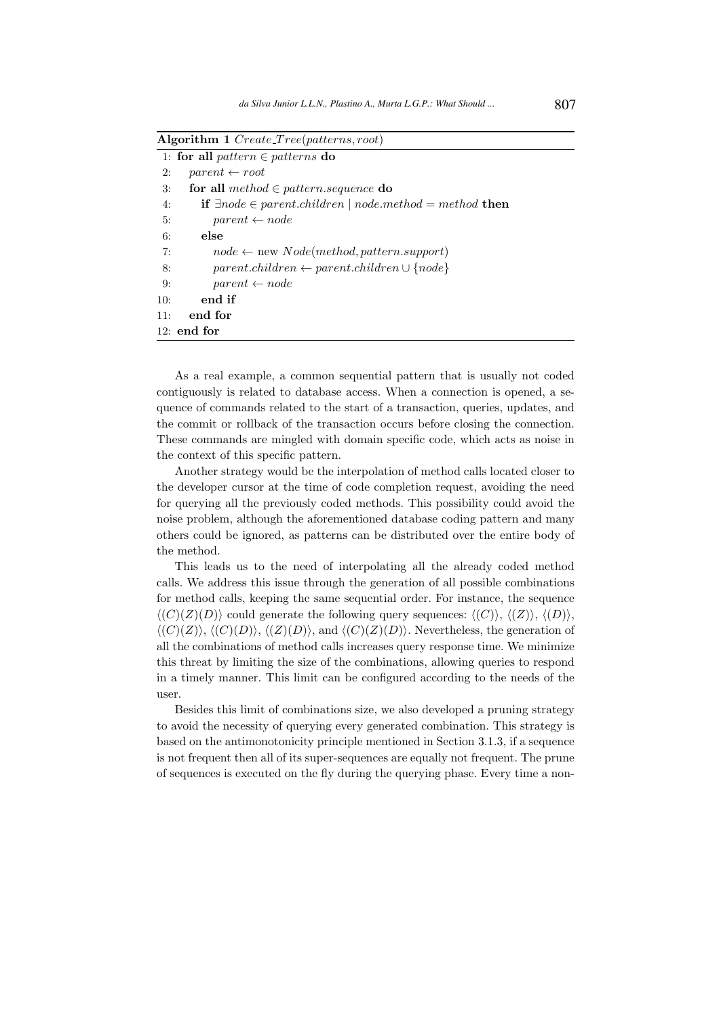Algorithm 1 Create\_Tree(patterns, root)

|     | 1: for all pattern $\in$ patterns do                                                 |
|-----|--------------------------------------------------------------------------------------|
| 2:  | $parent \leftarrow root$                                                             |
| 3:  | for all method $\in$ pattern.sequence do                                             |
| 4:  | <b>if</b> $\exists node \in parent \ldots children \mid node . method = method$ then |
| 5:  | $parent \leftarrow node$                                                             |
| 6:  | else                                                                                 |
| 7:  | $node \leftarrow new\ Node(method, pattern.support)$                                 |
| 8:  | $parent.children \leftarrow parent.children \cup \{node\}$                           |
| 9:  | $parent \leftarrow node$                                                             |
| 10: | end if                                                                               |
| 11: | end for                                                                              |
|     | $12:$ end for                                                                        |

As a real example, a common sequential pattern that is usually not coded contiguously is related to database access. When a connection is opened, a sequence of commands related to the start of a transaction, queries, updates, and the commit or rollback of the transaction occurs before closing the connection. These commands are mingled with domain specific code, which acts as noise in the context of this specific pattern.

Another strategy would be the interpolation of method calls located closer to the developer cursor at the time of code completion request, avoiding the need for querying all the previously coded methods. This possibility could avoid the noise problem, although the aforementioned database coding pattern and many others could be ignored, as patterns can be distributed over the entire body of the method.

This leads us to the need of interpolating all the already coded method calls. We address this issue through the generation of all possible combinations for method calls, keeping the same sequential order. For instance, the sequence  $\langle (C)(Z)(D) \rangle$  could generate the following query sequences:  $\langle (C) \rangle$ ,  $\langle (Z) \rangle$ ,  $\langle (D) \rangle$ ,  $\langle (C)(Z)\rangle$ ,  $\langle (C)(D)\rangle$ ,  $\langle (Z)(D)\rangle$ , and  $\langle (C)(Z)(D)\rangle$ . Nevertheless, the generation of all the combinations of method calls increases query response time. We minimize this threat by limiting the size of the combinations, allowing queries to respond in a timely manner. This limit can be configured according to the needs of the user.

Besides this limit of combinations size, we also developed a pruning strategy to avoid the necessity of querying every generated combination. This strategy is based on the antimonotonicity principle mentioned in Section 3.1.3, if a sequence is not frequent then all of its super-sequences are equally not frequent. The prune of sequences is executed on the fly during the querying phase. Every time a non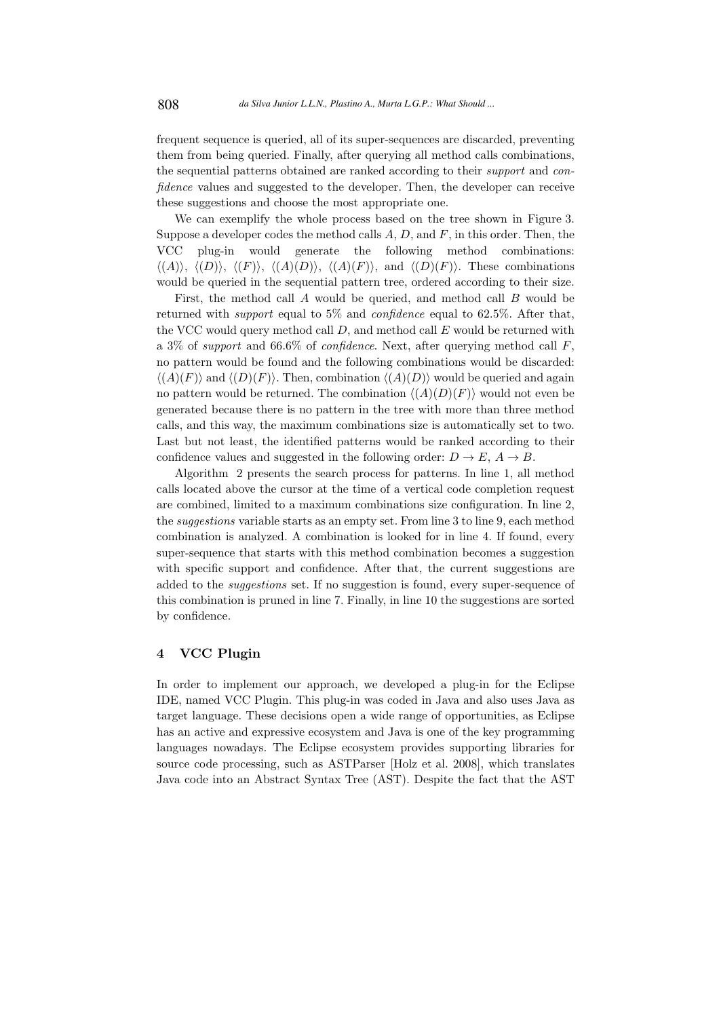frequent sequence is queried, all of its super-sequences are discarded, preventing them from being queried. Finally, after querying all method calls combinations, the sequential patterns obtained are ranked according to their support and confidence values and suggested to the developer. Then, the developer can receive these suggestions and choose the most appropriate one.

We can exemplify the whole process based on the tree shown in Figure 3. Suppose a developer codes the method calls  $A, D$ , and  $F$ , in this order. Then, the VCC plug-in would generate the following method combinations:  $\langle (A)\rangle$ ,  $\langle (D)\rangle$ ,  $\langle (F)\rangle$ ,  $\langle (A)(D)\rangle$ ,  $\langle (A)(F)\rangle$ , and  $\langle (D)(F)\rangle$ . These combinations would be queried in the sequential pattern tree, ordered according to their size.

First, the method call A would be queried, and method call B would be returned with support equal to 5% and confidence equal to 62.5%. After that, the VCC would query method call  $D$ , and method call  $E$  would be returned with a  $3\%$  of support and  $66.6\%$  of *confidence*. Next, after querying method call F, no pattern would be found and the following combinations would be discarded:  $\langle (A)(F) \rangle$  and  $\langle (D)(F) \rangle$ . Then, combination  $\langle (A)(D) \rangle$  would be queried and again no pattern would be returned. The combination  $\langle (A)(D)(F) \rangle$  would not even be generated because there is no pattern in the tree with more than three method calls, and this way, the maximum combinations size is automatically set to two. Last but not least, the identified patterns would be ranked according to their confidence values and suggested in the following order:  $D \to E$ ,  $A \to B$ .

Algorithm 2 presents the search process for patterns. In line 1, all method calls located above the cursor at the time of a vertical code completion request are combined, limited to a maximum combinations size configuration. In line 2, the suggestions variable starts as an empty set. From line 3 to line 9, each method combination is analyzed. A combination is looked for in line 4. If found, every super-sequence that starts with this method combination becomes a suggestion with specific support and confidence. After that, the current suggestions are added to the *suggestions* set. If no suggestion is found, every super-sequence of this combination is pruned in line 7. Finally, in line 10 the suggestions are sorted by confidence.

# 4 VCC Plugin

In order to implement our approach, we developed a plug-in for the Eclipse IDE, named VCC Plugin. This plug-in was coded in Java and also uses Java as target language. These decisions open a wide range of opportunities, as Eclipse has an active and expressive ecosystem and Java is one of the key programming languages nowadays. The Eclipse ecosystem provides supporting libraries for source code processing, such as ASTParser [Holz et al. 2008], which translates Java code into an Abstract Syntax Tree (AST). Despite the fact that the AST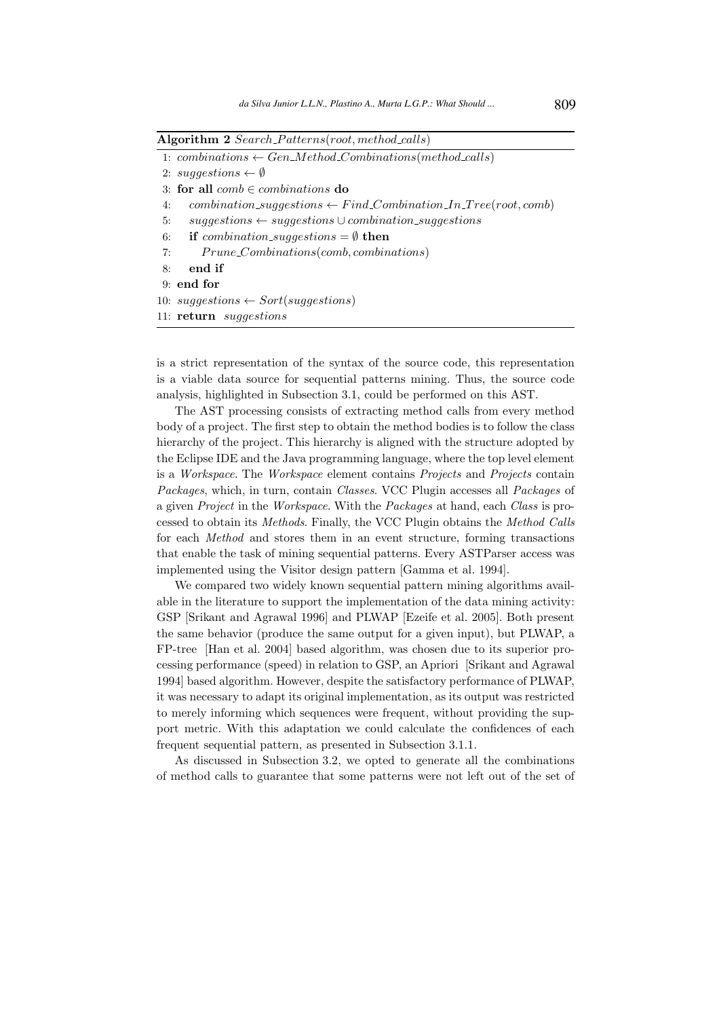Algorithm  $2$  Search\_Patterns(root, method\_calls)

|    | 1: combinations $\leftarrow$ Gen_Method_Combinations(method_calls)            |
|----|-------------------------------------------------------------------------------|
|    | 2: suggestions $\leftarrow \emptyset$                                         |
|    | 3: for all $comb \in combinations$ do                                         |
| 4: | $combination\_suggestions \leftarrow Find\_Combination\_In\_Tree(root, comb)$ |
| 5: | $suggestions \leftarrow suggestions \cup combination\_suggestions$            |
| 6: | if combination_suggestions = $\emptyset$ then                                 |
| 7: | $Prune\_Combinations(comb, combinations)$                                     |
| 8: | end if                                                                        |
|    | $9:$ end for                                                                  |
|    | 10: $suggestions \leftarrow Sort(suggestions)$                                |
|    | 11: return suggestions                                                        |

is a strict representation of the syntax of the source code, this representation is a viable data source for sequential patterns mining. Thus, the source code analysis, highlighted in Subsection 3.1, could be performed on this AST.

The AST processing consists of extracting method calls from every method body of a project. The first step to obtain the method bodies is to follow the class hierarchy of the project. This hierarchy is aligned with the structure adopted by the Eclipse IDE and the Java programming language, where the top level element is a Workspace. The Workspace element contains Projects and Projects contain Packages, which, in turn, contain Classes. VCC Plugin accesses all Packages of a given Project in the Workspace. With the Packages at hand, each Class is processed to obtain its Methods. Finally, the VCC Plugin obtains the Method Calls for each Method and stores them in an event structure, forming transactions that enable the task of mining sequential patterns. Every ASTParser access was implemented using the Visitor design pattern [Gamma et al. 1994].

We compared two widely known sequential pattern mining algorithms available in the literature to support the implementation of the data mining activity: GSP [Srikant and Agrawal 1996] and PLWAP [Ezeife et al. 2005]. Both present the same behavior (produce the same output for a given input), but PLWAP, a FP-tree [Han et al. 2004] based algorithm, was chosen due to its superior processing performance (speed) in relation to GSP, an Apriori [Srikant and Agrawal 1994] based algorithm. However, despite the satisfactory performance of PLWAP, it was necessary to adapt its original implementation, as its output was restricted to merely informing which sequences were frequent, without providing the support metric. With this adaptation we could calculate the confidences of each frequent sequential pattern, as presented in Subsection 3.1.1.

As discussed in Subsection 3.2, we opted to generate all the combinations of method calls to guarantee that some patterns were not left out of the set of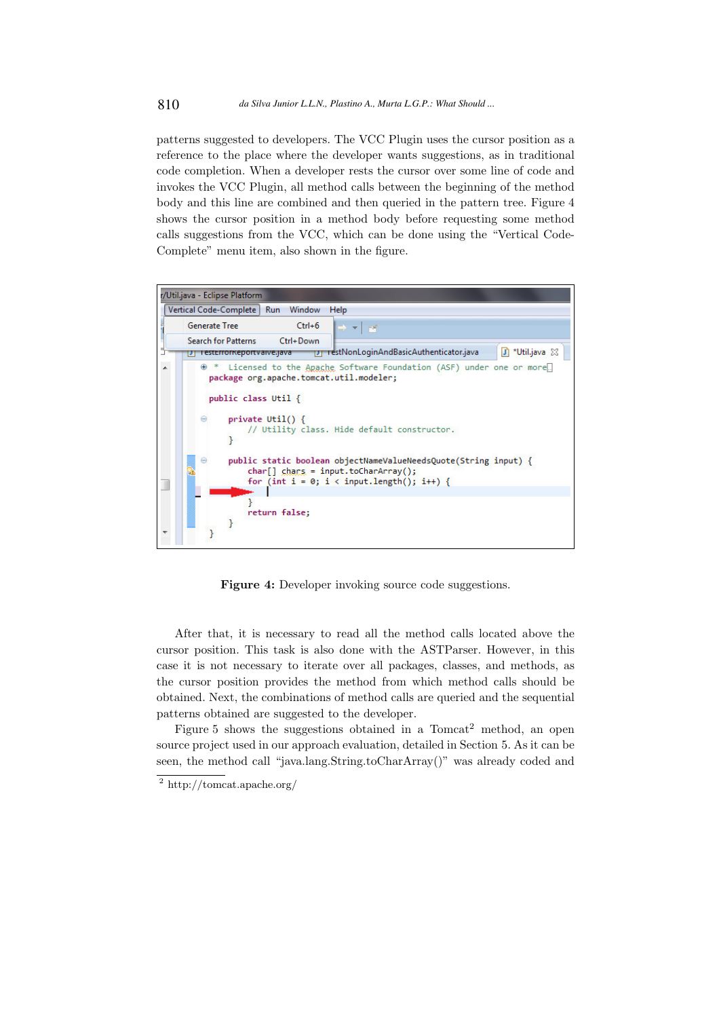patterns suggested to developers. The VCC Plugin uses the cursor position as a reference to the place where the developer wants suggestions, as in traditional code completion. When a developer rests the cursor over some line of code and invokes the VCC Plugin, all method calls between the beginning of the method body and this line are combined and then queried in the pattern tree. Figure 4 shows the cursor position in a method body before requesting some method calls suggestions from the VCC, which can be done using the "Vertical Code-Complete" menu item, also shown in the figure.



Figure 4: Developer invoking source code suggestions.

After that, it is necessary to read all the method calls located above the cursor position. This task is also done with the ASTParser. However, in this case it is not necessary to iterate over all packages, classes, and methods, as the cursor position provides the method from which method calls should be obtained. Next, the combinations of method calls are queried and the sequential patterns obtained are suggested to the developer.

Figure 5 shows the suggestions obtained in a  $Tomcat^2$  method, an open source project used in our approach evaluation, detailed in Section 5. As it can be seen, the method call "java.lang.String.toCharArray()" was already coded and

<sup>2</sup> http://tomcat.apache.org/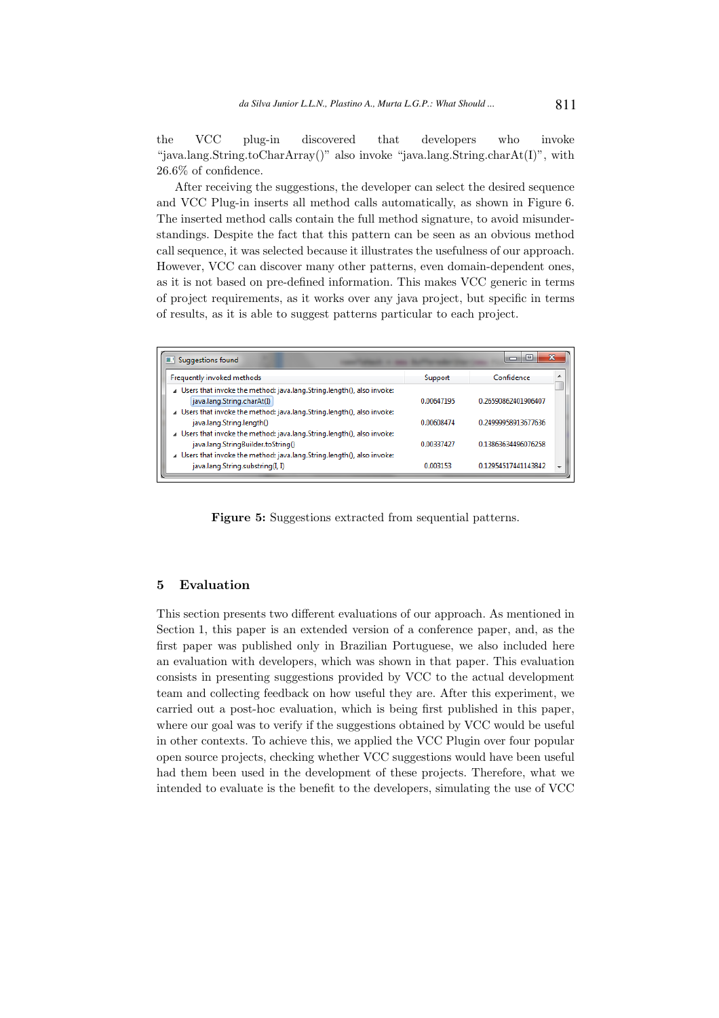the VCC plug-in discovered that developers who invoke "java.lang.String.toCharArray()" also invoke "java.lang.String.charAt(I)", with 26.6% of confidence.

After receiving the suggestions, the developer can select the desired sequence and VCC Plug-in inserts all method calls automatically, as shown in Figure 6. The inserted method calls contain the full method signature, to avoid misunderstandings. Despite the fact that this pattern can be seen as an obvious method call sequence, it was selected because it illustrates the usefulness of our approach. However, VCC can discover many other patterns, even domain-dependent ones, as it is not based on pre-defined information. This makes VCC generic in terms of project requirements, as it works over any java project, but specific in terms of results, as it is able to suggest patterns particular to each project.

| Suggestions found                                                       |            | ∣≕                  | 23 |
|-------------------------------------------------------------------------|------------|---------------------|----|
| Frequently invoked methods                                              | Support    | Confidence          | ▴  |
| 4 Users that invoke the method: java.lang.String.length(), also invoke: |            |                     |    |
| java.lang.String.charAt(I)                                              | 0.00647195 | 0.26590862401906407 |    |
| Josers that invoke the method: java.lang.String.length(), also invoke:  |            |                     |    |
| java.lang.String.length()                                               | 0.00608474 | 0.24999958913677636 |    |
| Josers that invoke the method: java.lang.String.length(), also invoke:  |            |                     |    |
| java.lang.StringBuilder.toString()                                      | 0.00337427 | 0.13863634496076258 |    |
| 4 Users that invoke the method: java.lang.String.length(), also invoke: |            |                     |    |
| java.lang.String.substring(I, I)                                        | 0.003153   | 0.12954517441143842 | ÷  |

Figure 5: Suggestions extracted from sequential patterns.

# 5 Evaluation

This section presents two different evaluations of our approach. As mentioned in Section 1, this paper is an extended version of a conference paper, and, as the first paper was published only in Brazilian Portuguese, we also included here an evaluation with developers, which was shown in that paper. This evaluation consists in presenting suggestions provided by VCC to the actual development team and collecting feedback on how useful they are. After this experiment, we carried out a post-hoc evaluation, which is being first published in this paper, where our goal was to verify if the suggestions obtained by VCC would be useful in other contexts. To achieve this, we applied the VCC Plugin over four popular open source projects, checking whether VCC suggestions would have been useful had them been used in the development of these projects. Therefore, what we intended to evaluate is the benefit to the developers, simulating the use of VCC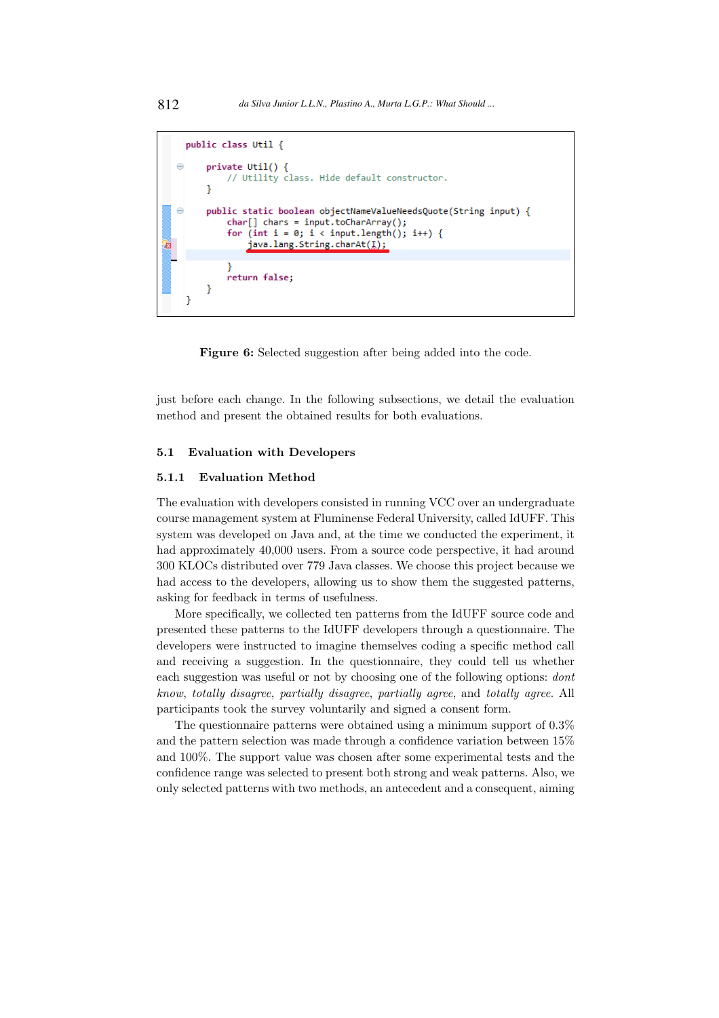```
public class Util {
    private Util() {
        // Utility class. Hide default constructor.
    public static boolean objectNameValueNeedsQuote(String input) {
        char[] chars = input.toCharArray();
        for (int i = 0; i < input.length(); i++) {
            java.lang.String.charAt(I);
        return false;
    þ
B
```
Figure 6: Selected suggestion after being added into the code.

just before each change. In the following subsections, we detail the evaluation method and present the obtained results for both evaluations.

# 5.1 Evaluation with Developers

#### 5.1.1 Evaluation Method

The evaluation with developers consisted in running VCC over an undergraduate course management system at Fluminense Federal University, called IdUFF. This system was developed on Java and, at the time we conducted the experiment, it had approximately 40,000 users. From a source code perspective, it had around 300 KLOCs distributed over 779 Java classes. We choose this project because we had access to the developers, allowing us to show them the suggested patterns, asking for feedback in terms of usefulness.

More specifically, we collected ten patterns from the IdUFF source code and presented these patterns to the IdUFF developers through a questionnaire. The developers were instructed to imagine themselves coding a specific method call and receiving a suggestion. In the questionnaire, they could tell us whether each suggestion was useful or not by choosing one of the following options: dont know, totally disagree, partially disagree, partially agree, and totally agree. All participants took the survey voluntarily and signed a consent form.

The questionnaire patterns were obtained using a minimum support of 0.3% and the pattern selection was made through a confidence variation between 15% and 100%. The support value was chosen after some experimental tests and the confidence range was selected to present both strong and weak patterns. Also, we only selected patterns with two methods, an antecedent and a consequent, aiming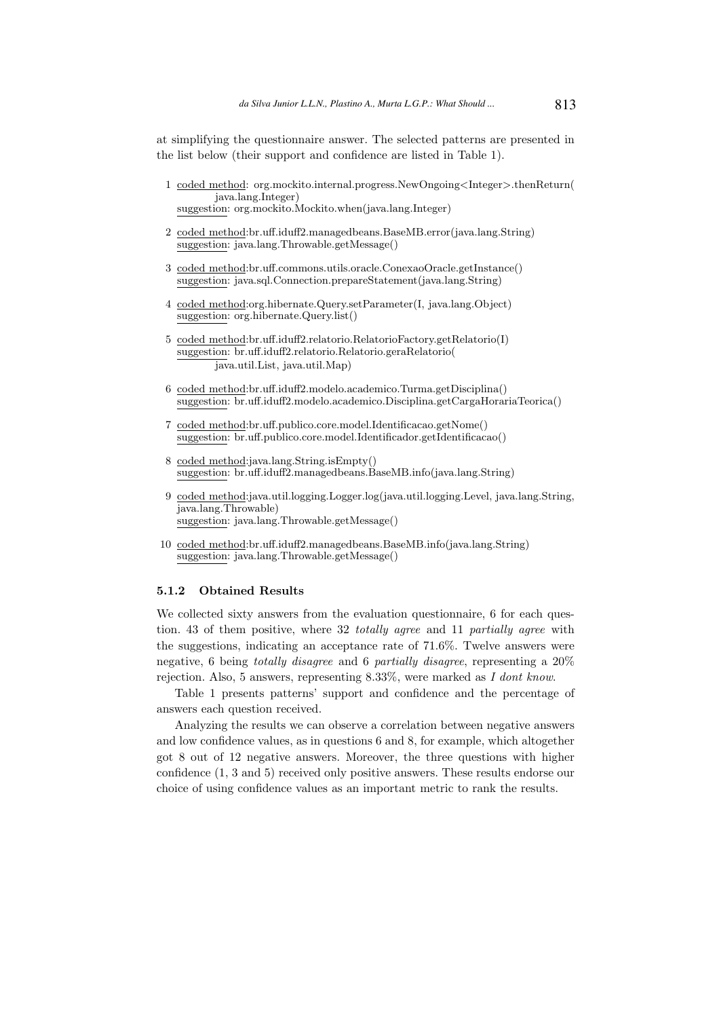at simplifying the questionnaire answer. The selected patterns are presented in the list below (their support and confidence are listed in Table 1).

1 coded method: org.mockito.internal.progress.NewOngoing<Integer>.thenReturn( java.lang.Integer)

suggestion: org.mockito.Mockito.when(java.lang.Integer)

- 2 coded method:br.uff.iduff2.managedbeans.BaseMB.error(java.lang.String) suggestion: java.lang.Throwable.getMessage()
- 3 coded method:br.uff.commons.utils.oracle.ConexaoOracle.getInstance() suggestion: java.sql.Connection.prepareStatement(java.lang.String)
- 4 coded method:org.hibernate.Query.setParameter(I, java.lang.Object) suggestion: org.hibernate.Query.list()
- 5 coded method:br.uff.iduff2.relatorio.RelatorioFactory.getRelatorio(I) suggestion: br.uff.iduff2.relatorio.Relatorio.geraRelatorio( java.util.List, java.util.Map)
- 6 coded method:br.uff.iduff2.modelo.academico.Turma.getDisciplina() suggestion: br.uff.iduff2.modelo.academico.Disciplina.getCargaHorariaTeorica()
- 7 coded method:br.uff.publico.core.model.Identificacao.getNome() suggestion: br.uff.publico.core.model.Identificador.getIdentificacao()
- 8 coded method:java.lang.String.isEmpty() suggestion: br.uff.iduff2.managedbeans.BaseMB.info(java.lang.String)
- 9 coded method:java.util.logging.Logger.log(java.util.logging.Level, java.lang.String, java.lang.Throwable) suggestion: java.lang.Throwable.getMessage()
- 10 coded method:br.uff.iduff2.managedbeans.BaseMB.info(java.lang.String) suggestion: java.lang.Throwable.getMessage()

### 5.1.2 Obtained Results

We collected sixty answers from the evaluation questionnaire, 6 for each question. 43 of them positive, where 32 totally agree and 11 partially agree with the suggestions, indicating an acceptance rate of 71.6%. Twelve answers were negative, 6 being totally disagree and 6 partially disagree, representing a 20% rejection. Also, 5 answers, representing 8.33%, were marked as I dont know.

Table 1 presents patterns' support and confidence and the percentage of answers each question received.

Analyzing the results we can observe a correlation between negative answers and low confidence values, as in questions 6 and 8, for example, which altogether got 8 out of 12 negative answers. Moreover, the three questions with higher confidence (1, 3 and 5) received only positive answers. These results endorse our choice of using confidence values as an important metric to rank the results.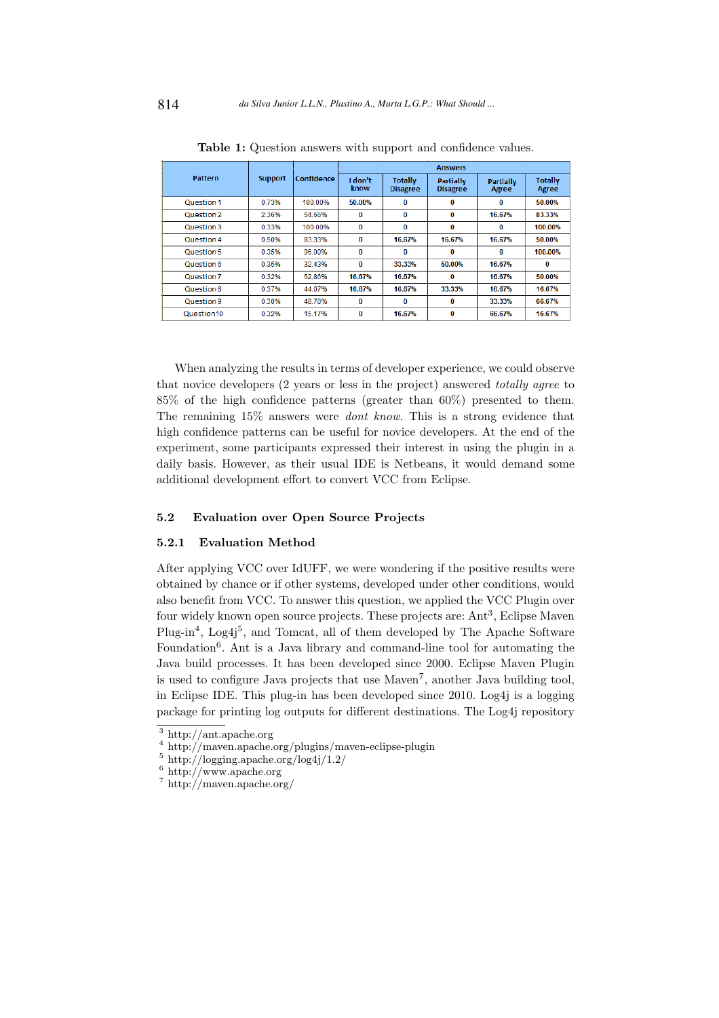|             |                | Confidence | <b>Answers</b>             |                                   |                                     |                           |                         |  |  |
|-------------|----------------|------------|----------------------------|-----------------------------------|-------------------------------------|---------------------------|-------------------------|--|--|
| Pattern     | <b>Support</b> |            | I don't<br>know            | <b>Totally</b><br><b>Disagree</b> | <b>Partially</b><br><b>Disagree</b> | <b>Partially</b><br>Agree | <b>Totally</b><br>Agree |  |  |
| Question 1  | 0.73%          | 100.00%    | 50.00%                     | 0                                 | 0                                   | 0                         | 50.00%                  |  |  |
| Question 2  | 2.36%          | 54.66%     | 0<br>0                     | 0                                 |                                     | 16.67%                    | 83.33%                  |  |  |
| Question 3  | 0.33%          | 100.00%    | 0                          | 0                                 | 0                                   | 0                         | 100.00%                 |  |  |
| Question 4  | 0.50%          | 83.33%     | 0                          | 16.67%                            | 16.67%                              | 16.67%                    | 50.00%                  |  |  |
| Question 5  | 0.35%          | 96.00%     | 0                          | 0                                 | 0<br>0                              |                           | 100.00%                 |  |  |
| Question 6  | 0.35%          | 32.43%     | 0<br>33.33%<br>50.00%      |                                   | 16.67%                              | 0                         |                         |  |  |
| Question 7  | 0.32%          | 62.86%     | 16.67%                     | 16.67%                            | 0                                   | 16.67%                    | 50.00%                  |  |  |
| Question 8  | 0.37%          | 44.07%     | 16.67%<br>16.67%<br>33.33% |                                   |                                     | 16.67%                    | 16.67%                  |  |  |
| Question 9  | 0.30%          | 48.78%     | 0                          | 0                                 | 0                                   | 33.33%                    | 66.67%                  |  |  |
| Question 10 | 0.32%          | 15.17%     | 0                          | 16.67%                            | 0                                   | 66.67%                    | 16.67%                  |  |  |

Table 1: Question answers with support and confidence values.

When analyzing the results in terms of developer experience, we could observe that novice developers (2 years or less in the project) answered totally agree to 85% of the high confidence patterns (greater than 60%) presented to them. The remaining 15% answers were dont know. This is a strong evidence that high confidence patterns can be useful for novice developers. At the end of the experiment, some participants expressed their interest in using the plugin in a daily basis. However, as their usual IDE is Netbeans, it would demand some additional development effort to convert VCC from Eclipse.

## 5.2 Evaluation over Open Source Projects

### 5.2.1 Evaluation Method

After applying VCC over IdUFF, we were wondering if the positive results were obtained by chance or if other systems, developed under other conditions, would also benefit from VCC. To answer this question, we applied the VCC Plugin over four widely known open source projects. These projects are: Ant<sup>3</sup>, Eclipse Maven Plug-in<sup>4</sup>, Log4j<sup>5</sup>, and Tomcat, all of them developed by The Apache Software Foundation<sup>6</sup>. Ant is a Java library and command-line tool for automating the Java build processes. It has been developed since 2000. Eclipse Maven Plugin is used to configure Java projects that use Maven<sup>7</sup>, another Java building tool, in Eclipse IDE. This plug-in has been developed since 2010. Log4j is a logging package for printing log outputs for different destinations. The Log4j repository

 $\sqrt[3]{\text{http://ant.apache.org}}$ 

<sup>4</sup> http://maven.apache.org/plugins/maven-eclipse-plugin

 $5 \frac{\text{ncy}}{\text{http://logging.apache.org/log4j/1.2/}}$ 

 $6 \frac{\text{http://www.apache.org}}{\text{http://www.apache.org}}$ 

<sup>7</sup> http://maven.apache.org/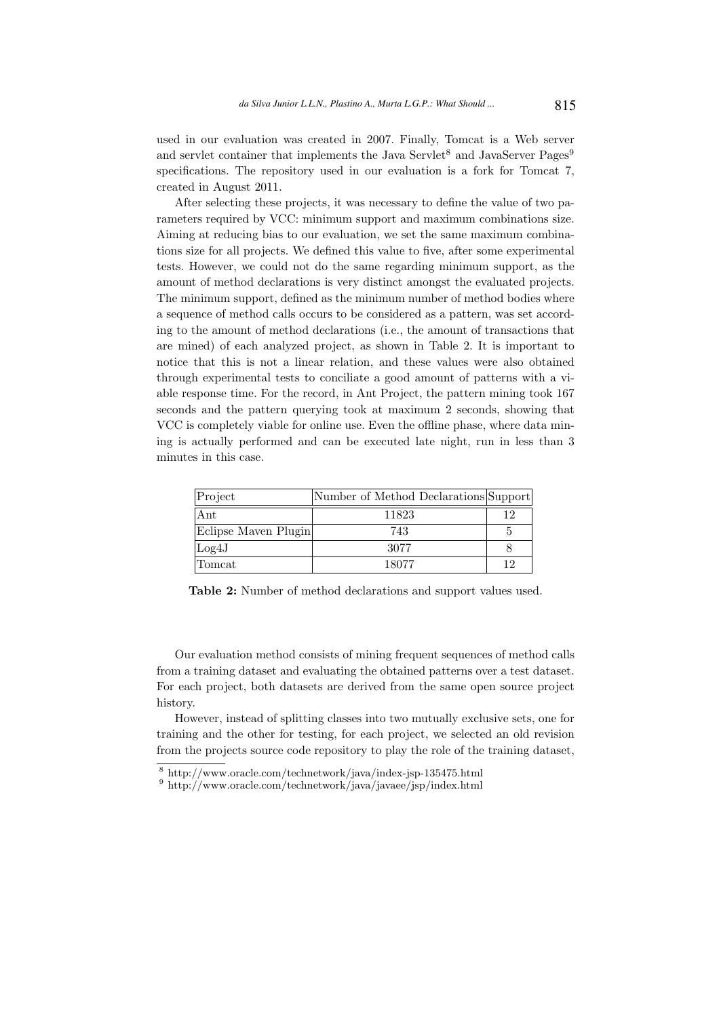used in our evaluation was created in 2007. Finally, Tomcat is a Web server and servlet container that implements the Java Servlet<sup>8</sup> and JavaServer Pages<sup>9</sup> specifications. The repository used in our evaluation is a fork for Tomcat 7, created in August 2011.

After selecting these projects, it was necessary to define the value of two parameters required by VCC: minimum support and maximum combinations size. Aiming at reducing bias to our evaluation, we set the same maximum combinations size for all projects. We defined this value to five, after some experimental tests. However, we could not do the same regarding minimum support, as the amount of method declarations is very distinct amongst the evaluated projects. The minimum support, defined as the minimum number of method bodies where a sequence of method calls occurs to be considered as a pattern, was set according to the amount of method declarations (i.e., the amount of transactions that are mined) of each analyzed project, as shown in Table 2. It is important to notice that this is not a linear relation, and these values were also obtained through experimental tests to conciliate a good amount of patterns with a viable response time. For the record, in Ant Project, the pattern mining took 167 seconds and the pattern querying took at maximum 2 seconds, showing that VCC is completely viable for online use. Even the offline phase, where data mining is actually performed and can be executed late night, run in less than 3 minutes in this case.

| Project              | Number of Method Declarations Support |    |
|----------------------|---------------------------------------|----|
| $\vert$ Ant          | 11823                                 | 12 |
| Eclipse Maven Plugin | 743                                   | 5  |
| Log4J                | 3077                                  |    |
| Tomcat               | 18077                                 | 19 |

Table 2: Number of method declarations and support values used.

Our evaluation method consists of mining frequent sequences of method calls from a training dataset and evaluating the obtained patterns over a test dataset. For each project, both datasets are derived from the same open source project history.

However, instead of splitting classes into two mutually exclusive sets, one for training and the other for testing, for each project, we selected an old revision from the projects source code repository to play the role of the training dataset,

<sup>8</sup> http://www.oracle.com/technetwork/java/index-jsp-135475.html

 $9 \text{ http://www.oracle.com/technetwork/java/javaee/jsp/index.html}$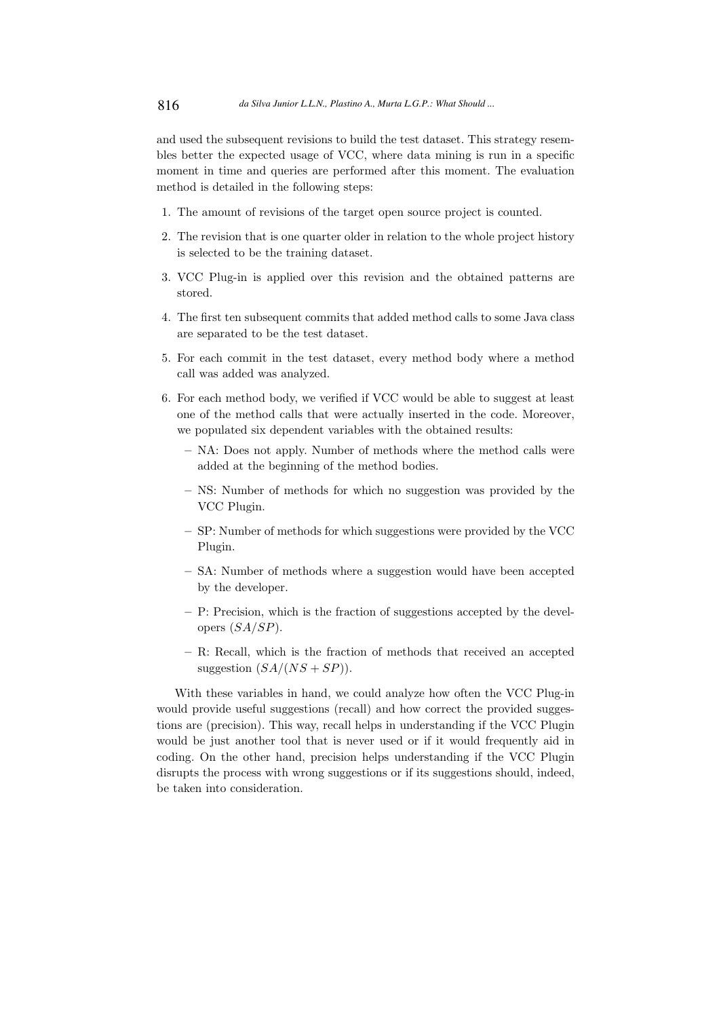and used the subsequent revisions to build the test dataset. This strategy resembles better the expected usage of VCC, where data mining is run in a specific moment in time and queries are performed after this moment. The evaluation method is detailed in the following steps:

- 1. The amount of revisions of the target open source project is counted.
- 2. The revision that is one quarter older in relation to the whole project history is selected to be the training dataset.
- 3. VCC Plug-in is applied over this revision and the obtained patterns are stored.
- 4. The first ten subsequent commits that added method calls to some Java class are separated to be the test dataset.
- 5. For each commit in the test dataset, every method body where a method call was added was analyzed.
- 6. For each method body, we verified if VCC would be able to suggest at least one of the method calls that were actually inserted in the code. Moreover, we populated six dependent variables with the obtained results:
	- NA: Does not apply. Number of methods where the method calls were added at the beginning of the method bodies.
	- NS: Number of methods for which no suggestion was provided by the VCC Plugin.
	- SP: Number of methods for which suggestions were provided by the VCC Plugin.
	- SA: Number of methods where a suggestion would have been accepted by the developer.
	- P: Precision, which is the fraction of suggestions accepted by the developers (SA/SP).
	- R: Recall, which is the fraction of methods that received an accepted suggestion  $(SA/(NS + SP))$ .

With these variables in hand, we could analyze how often the VCC Plug-in would provide useful suggestions (recall) and how correct the provided suggestions are (precision). This way, recall helps in understanding if the VCC Plugin would be just another tool that is never used or if it would frequently aid in coding. On the other hand, precision helps understanding if the VCC Plugin disrupts the process with wrong suggestions or if its suggestions should, indeed, be taken into consideration.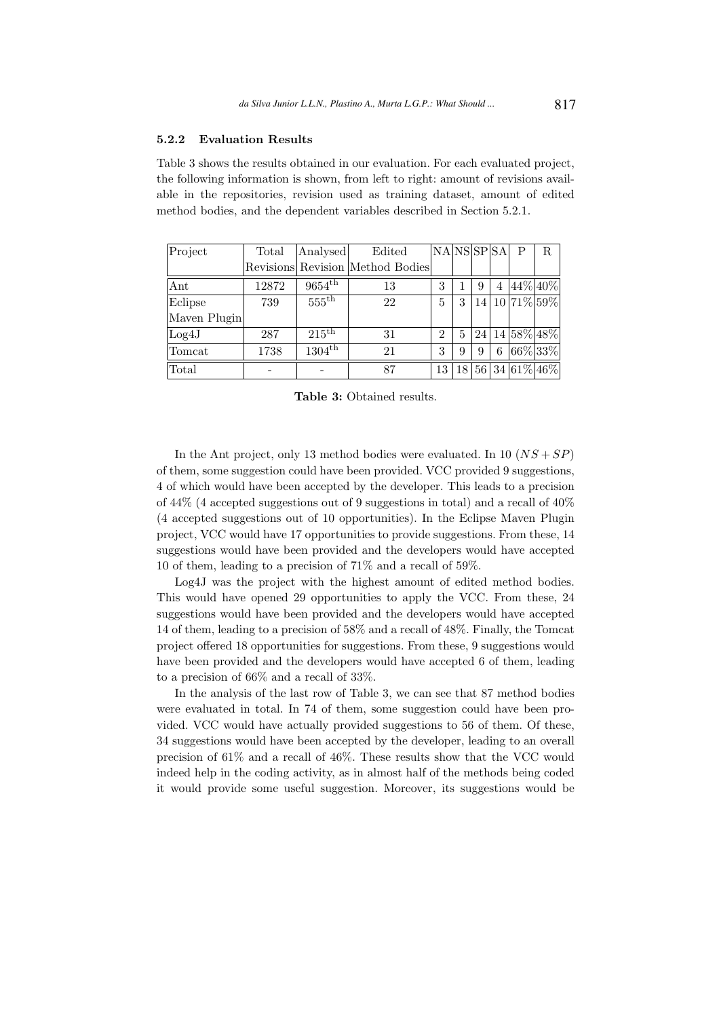### 5.2.2 Evaluation Results

Table 3 shows the results obtained in our evaluation. For each evaluated project, the following information is shown, from left to right: amount of revisions available in the repositories, revision used as training dataset, amount of edited method bodies, and the dependent variables described in Section 5.2.1.

| Project<br>Total |       | Analysed           | Edited                           | NA NS SP SA    |    |   |   | $\mathbf{P}$ | R                 |
|------------------|-------|--------------------|----------------------------------|----------------|----|---|---|--------------|-------------------|
|                  |       |                    | Revisions Revision Method Bodies |                |    |   |   |              |                   |
| $\vert$ Ant      | 12872 | $9654^{\text{th}}$ | 13                               | 3              |    | 9 | 4 |              | $ 44\% 40\% $     |
| Eclipse          | 739   | $555^{\rm th}$     | 22                               | 5              | 3  |   |   |              | 14 10 71% 59%     |
| Maven Plugin     |       |                    |                                  |                |    |   |   |              |                   |
| Log4J            | 287   | $215^{\text{th}}$  | 31                               | $\overline{2}$ | 5  |   |   |              | $24 14 58\% 48\%$ |
| Tomcat           | 1738  | $1304^{\text{th}}$ | 21                               | 3              | 9  | 9 | 6 |              | $ 66\% 33\% $     |
| Total            |       |                    | 87                               | 13             | 18 |   |   |              | $56 34 61\% 46\%$ |

Table 3: Obtained results.

In the Ant project, only 13 method bodies were evaluated. In 10  $(NS + SP)$ of them, some suggestion could have been provided. VCC provided 9 suggestions, 4 of which would have been accepted by the developer. This leads to a precision of  $44\%$  (4 accepted suggestions out of 9 suggestions in total) and a recall of  $40\%$ (4 accepted suggestions out of 10 opportunities). In the Eclipse Maven Plugin project, VCC would have 17 opportunities to provide suggestions. From these, 14 suggestions would have been provided and the developers would have accepted 10 of them, leading to a precision of 71% and a recall of 59%.

Log4J was the project with the highest amount of edited method bodies. This would have opened 29 opportunities to apply the VCC. From these, 24 suggestions would have been provided and the developers would have accepted 14 of them, leading to a precision of 58% and a recall of 48%. Finally, the Tomcat project offered 18 opportunities for suggestions. From these, 9 suggestions would have been provided and the developers would have accepted 6 of them, leading to a precision of 66% and a recall of 33%.

In the analysis of the last row of Table 3, we can see that 87 method bodies were evaluated in total. In 74 of them, some suggestion could have been provided. VCC would have actually provided suggestions to 56 of them. Of these, 34 suggestions would have been accepted by the developer, leading to an overall precision of 61% and a recall of 46%. These results show that the VCC would indeed help in the coding activity, as in almost half of the methods being coded it would provide some useful suggestion. Moreover, its suggestions would be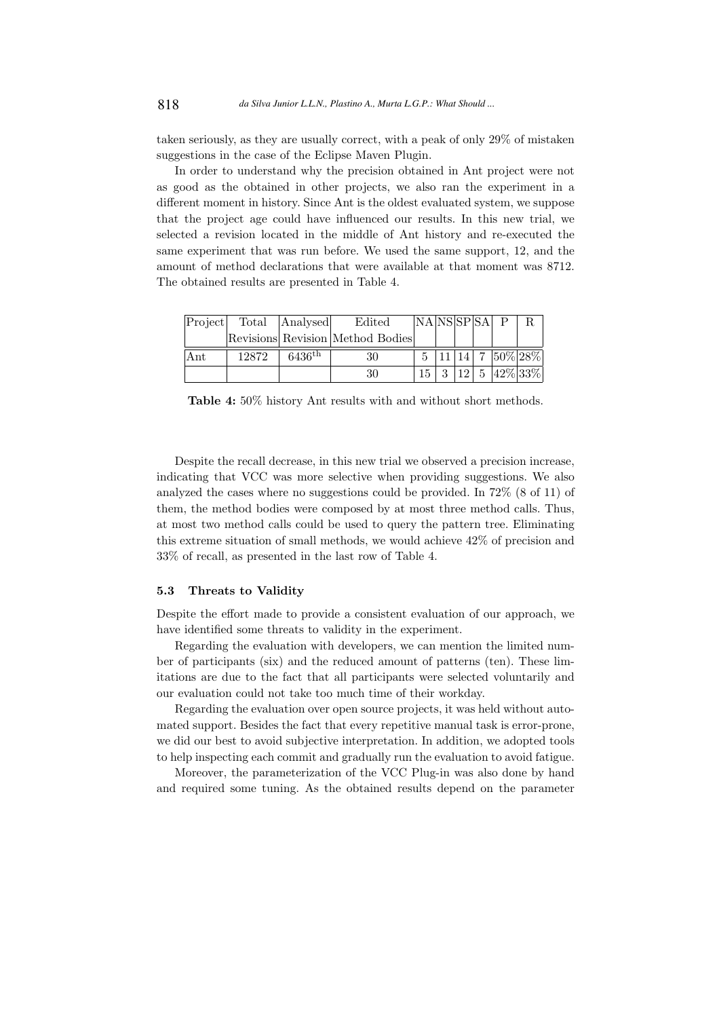taken seriously, as they are usually correct, with a peak of only 29% of mistaken suggestions in the case of the Eclipse Maven Plugin.

In order to understand why the precision obtained in Ant project were not as good as the obtained in other projects, we also ran the experiment in a different moment in history. Since Ant is the oldest evaluated system, we suppose that the project age could have influenced our results. In this new trial, we selected a revision located in the middle of Ant history and re-executed the same experiment that was run before. We used the same support, 12, and the amount of method declarations that were available at that moment was 8712. The obtained results are presented in Table 4.

| Project |       | Total Analysed  | Edited                           | NA NS SP SA |      |    |              |  |
|---------|-------|-----------------|----------------------------------|-------------|------|----|--------------|--|
|         |       |                 | Revisions Revision Method Bodies |             |      |    |              |  |
| ∣Ant    | 12872 | $6436^{\rm th}$ | 30                               |             | 14 I | -7 | $ 50\% 28\%$ |  |
|         |       |                 | 30                               | 15          |      |    | $ 42\% 33\%$ |  |

Table 4: 50% history Ant results with and without short methods.

Despite the recall decrease, in this new trial we observed a precision increase, indicating that VCC was more selective when providing suggestions. We also analyzed the cases where no suggestions could be provided. In 72% (8 of 11) of them, the method bodies were composed by at most three method calls. Thus, at most two method calls could be used to query the pattern tree. Eliminating this extreme situation of small methods, we would achieve 42% of precision and 33% of recall, as presented in the last row of Table 4.

# 5.3 Threats to Validity

Despite the effort made to provide a consistent evaluation of our approach, we have identified some threats to validity in the experiment.

Regarding the evaluation with developers, we can mention the limited number of participants (six) and the reduced amount of patterns (ten). These limitations are due to the fact that all participants were selected voluntarily and our evaluation could not take too much time of their workday.

Regarding the evaluation over open source projects, it was held without automated support. Besides the fact that every repetitive manual task is error-prone, we did our best to avoid subjective interpretation. In addition, we adopted tools to help inspecting each commit and gradually run the evaluation to avoid fatigue.

Moreover, the parameterization of the VCC Plug-in was also done by hand and required some tuning. As the obtained results depend on the parameter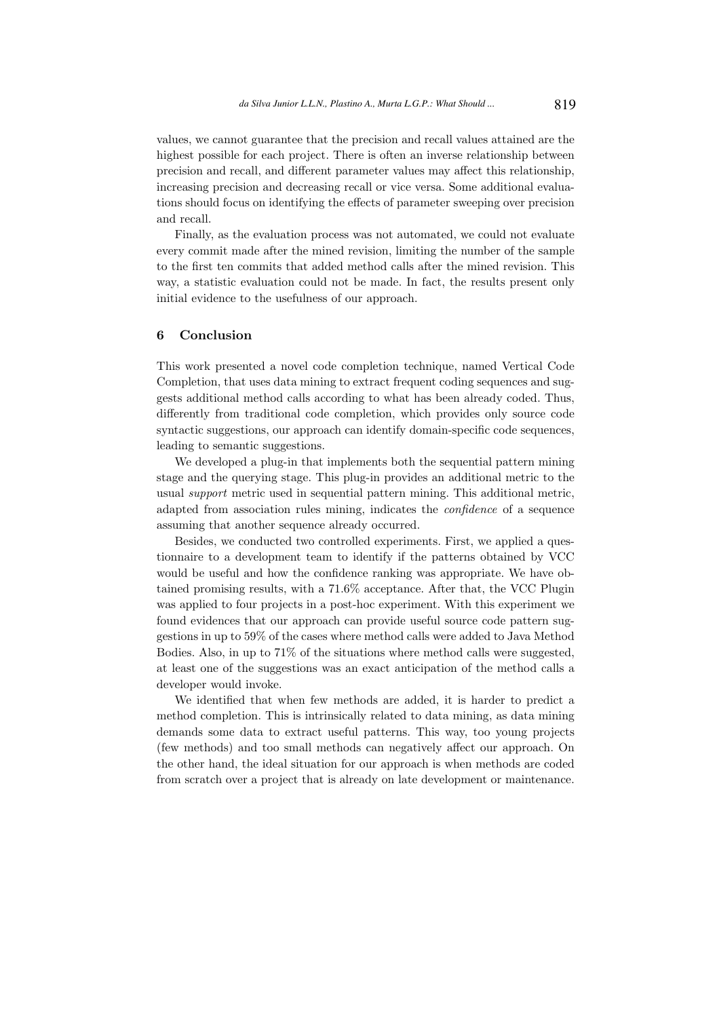values, we cannot guarantee that the precision and recall values attained are the highest possible for each project. There is often an inverse relationship between precision and recall, and different parameter values may affect this relationship, increasing precision and decreasing recall or vice versa. Some additional evaluations should focus on identifying the effects of parameter sweeping over precision and recall.

Finally, as the evaluation process was not automated, we could not evaluate every commit made after the mined revision, limiting the number of the sample to the first ten commits that added method calls after the mined revision. This way, a statistic evaluation could not be made. In fact, the results present only initial evidence to the usefulness of our approach.

# 6 Conclusion

This work presented a novel code completion technique, named Vertical Code Completion, that uses data mining to extract frequent coding sequences and suggests additional method calls according to what has been already coded. Thus, differently from traditional code completion, which provides only source code syntactic suggestions, our approach can identify domain-specific code sequences, leading to semantic suggestions.

We developed a plug-in that implements both the sequential pattern mining stage and the querying stage. This plug-in provides an additional metric to the usual support metric used in sequential pattern mining. This additional metric, adapted from association rules mining, indicates the confidence of a sequence assuming that another sequence already occurred.

Besides, we conducted two controlled experiments. First, we applied a questionnaire to a development team to identify if the patterns obtained by VCC would be useful and how the confidence ranking was appropriate. We have obtained promising results, with a 71.6% acceptance. After that, the VCC Plugin was applied to four projects in a post-hoc experiment. With this experiment we found evidences that our approach can provide useful source code pattern suggestions in up to 59% of the cases where method calls were added to Java Method Bodies. Also, in up to 71% of the situations where method calls were suggested, at least one of the suggestions was an exact anticipation of the method calls a developer would invoke.

We identified that when few methods are added, it is harder to predict a method completion. This is intrinsically related to data mining, as data mining demands some data to extract useful patterns. This way, too young projects (few methods) and too small methods can negatively affect our approach. On the other hand, the ideal situation for our approach is when methods are coded from scratch over a project that is already on late development or maintenance.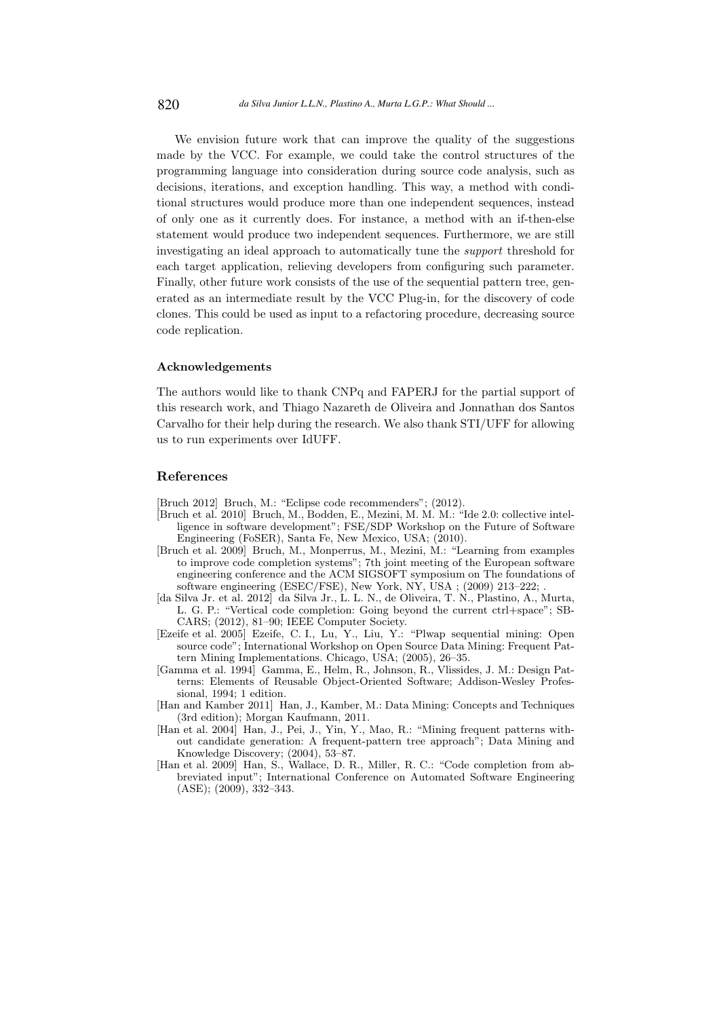We envision future work that can improve the quality of the suggestions made by the VCC. For example, we could take the control structures of the programming language into consideration during source code analysis, such as decisions, iterations, and exception handling. This way, a method with conditional structures would produce more than one independent sequences, instead of only one as it currently does. For instance, a method with an if-then-else statement would produce two independent sequences. Furthermore, we are still investigating an ideal approach to automatically tune the support threshold for each target application, relieving developers from configuring such parameter. Finally, other future work consists of the use of the sequential pattern tree, generated as an intermediate result by the VCC Plug-in, for the discovery of code clones. This could be used as input to a refactoring procedure, decreasing source code replication.

### Acknowledgements

The authors would like to thank CNPq and FAPERJ for the partial support of this research work, and Thiago Nazareth de Oliveira and Jonnathan dos Santos Carvalho for their help during the research. We also thank STI/UFF for allowing us to run experiments over IdUFF.

# References

[Bruch 2012] Bruch, M.: "Eclipse code recommenders"; (2012).

- [Bruch et al. 2010] Bruch, M., Bodden, E., Mezini, M. M. M.: "Ide 2.0: collective intelligence in software development"; FSE/SDP Workshop on the Future of Software Engineering (FoSER), Santa Fe, New Mexico, USA; (2010).
- [Bruch et al. 2009] Bruch, M., Monperrus, M., Mezini, M.: "Learning from examples to improve code completion systems"; 7th joint meeting of the European software engineering conference and the ACM SIGSOFT symposium on The foundations of software engineering (ESEC/FSE), New York, NY, USA ; (2009) 213–222; .
- [da Silva Jr. et al. 2012] da Silva Jr., L. L. N., de Oliveira, T. N., Plastino, A., Murta, L. G. P.: "Vertical code completion: Going beyond the current ctrl+space"; SB-CARS; (2012), 81–90; IEEE Computer Society.
- [Ezeife et al. 2005] Ezeife, C. I., Lu, Y., Liu, Y.: "Plwap sequential mining: Open source code"; International Workshop on Open Source Data Mining: Frequent Pattern Mining Implementations. Chicago, USA; (2005), 26–35.
- [Gamma et al. 1994] Gamma, E., Helm, R., Johnson, R., Vlissides, J. M.: Design Patterns: Elements of Reusable Object-Oriented Software; Addison-Wesley Professional, 1994; 1 edition.
- [Han and Kamber 2011] Han, J., Kamber, M.: Data Mining: Concepts and Techniques (3rd edition); Morgan Kaufmann, 2011.
- [Han et al. 2004] Han, J., Pei, J., Yin, Y., Mao, R.: "Mining frequent patterns without candidate generation: A frequent-pattern tree approach"; Data Mining and Knowledge Discovery; (2004), 53–87.
- [Han et al. 2009] Han, S., Wallace, D. R., Miller, R. C.: "Code completion from abbreviated input"; International Conference on Automated Software Engineering (ASE); (2009), 332–343.